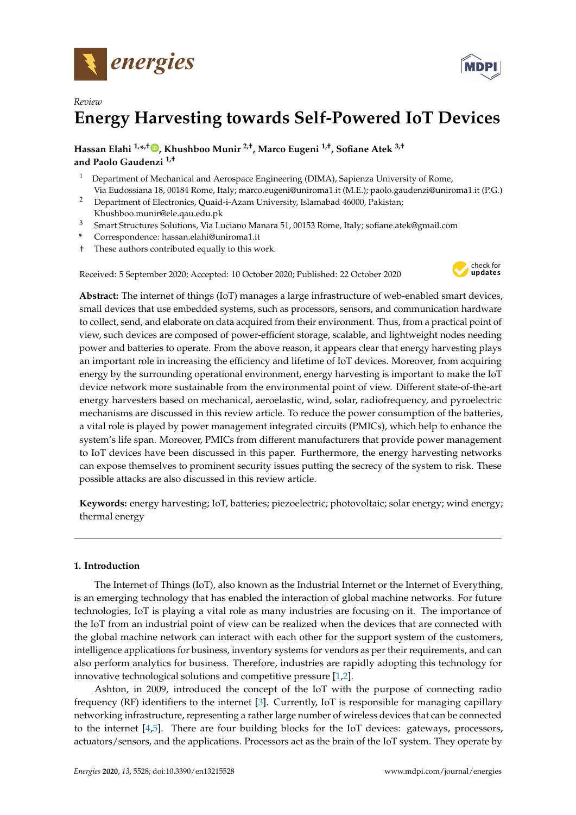

*Review*



# **Energy Harvesting towards Self-Powered IoT Devices**

**Hassan Elahi 1,\* ,† [,](https://orcid.org/0000-0001-6836-604X) Khushboo Munir 2,†, Marco Eugeni 1,†, Sofiane Atek 3,† and Paolo Gaudenzi 1,†**

- <sup>1</sup> Department of Mechanical and Aerospace Engineering (DIMA), Sapienza University of Rome, Via Eudossiana 18, 00184 Rome, Italy; marco.eugeni@uniroma1.it (M.E.); paolo.gaudenzi@uniroma1.it (P.G.)
- <sup>2</sup> Department of Electronics, Quaid-i-Azam University, Islamabad 46000, Pakistan; Khushboo.munir@ele.qau.edu.pk
- <sup>3</sup> Smart Structures Solutions, Via Luciano Manara 51, 00153 Rome, Italy; sofiane.atek@gmail.com
- **\*** Correspondence: hassan.elahi@uniroma1.it
- † These authors contributed equally to this work.

Received: 5 September 2020; Accepted: 10 October 2020; Published: 22 October 2020



**Abstract:** The internet of things (IoT) manages a large infrastructure of web-enabled smart devices, small devices that use embedded systems, such as processors, sensors, and communication hardware to collect, send, and elaborate on data acquired from their environment. Thus, from a practical point of view, such devices are composed of power-efficient storage, scalable, and lightweight nodes needing power and batteries to operate. From the above reason, it appears clear that energy harvesting plays an important role in increasing the efficiency and lifetime of IoT devices. Moreover, from acquiring energy by the surrounding operational environment, energy harvesting is important to make the IoT device network more sustainable from the environmental point of view. Different state-of-the-art energy harvesters based on mechanical, aeroelastic, wind, solar, radiofrequency, and pyroelectric mechanisms are discussed in this review article. To reduce the power consumption of the batteries, a vital role is played by power management integrated circuits (PMICs), which help to enhance the system's life span. Moreover, PMICs from different manufacturers that provide power management to IoT devices have been discussed in this paper. Furthermore, the energy harvesting networks can expose themselves to prominent security issues putting the secrecy of the system to risk. These possible attacks are also discussed in this review article.

**Keywords:** energy harvesting; IoT, batteries; piezoelectric; photovoltaic; solar energy; wind energy; thermal energy

# **1. Introduction**

The Internet of Things (IoT), also known as the Industrial Internet or the Internet of Everything, is an emerging technology that has enabled the interaction of global machine networks. For future technologies, IoT is playing a vital role as many industries are focusing on it. The importance of the IoT from an industrial point of view can be realized when the devices that are connected with the global machine network can interact with each other for the support system of the customers, intelligence applications for business, inventory systems for vendors as per their requirements, and can also perform analytics for business. Therefore, industries are rapidly adopting this technology for innovative technological solutions and competitive pressure [\[1,](#page-21-0)[2\]](#page-21-1).

Ashton, in 2009, introduced the concept of the IoT with the purpose of connecting radio frequency (RF) identifiers to the internet [\[3\]](#page-21-2). Currently, IoT is responsible for managing capillary networking infrastructure, representing a rather large number of wireless devices that can be connected to the internet [\[4](#page-21-3)[,5\]](#page-21-4). There are four building blocks for the IoT devices: gateways, processors, actuators/sensors, and the applications. Processors act as the brain of the IoT system. They operate by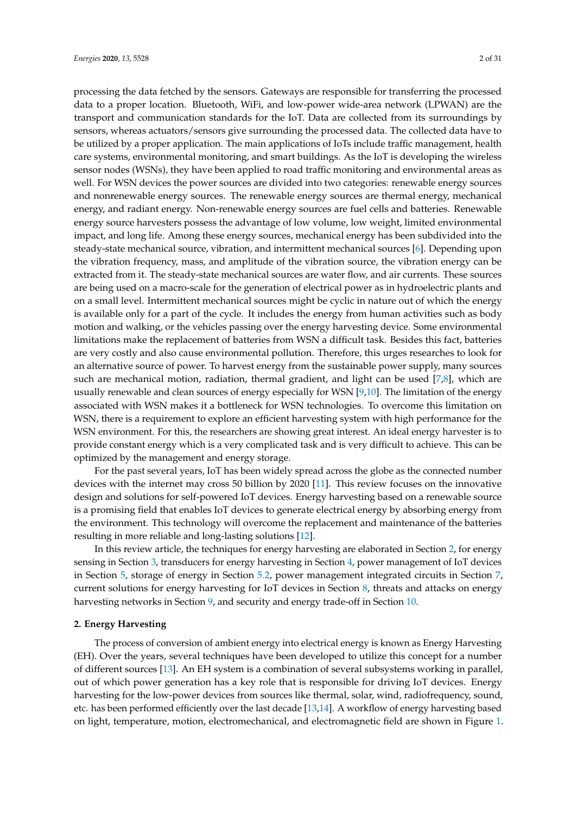processing the data fetched by the sensors. Gateways are responsible for transferring the processed data to a proper location. Bluetooth, WiFi, and low-power wide-area network (LPWAN) are the transport and communication standards for the IoT. Data are collected from its surroundings by sensors, whereas actuators/sensors give surrounding the processed data. The collected data have to be utilized by a proper application. The main applications of IoTs include traffic management, health care systems, environmental monitoring, and smart buildings. As the IoT is developing the wireless sensor nodes (WSNs), they have been applied to road traffic monitoring and environmental areas as well. For WSN devices the power sources are divided into two categories: renewable energy sources and nonrenewable energy sources. The renewable energy sources are thermal energy, mechanical energy, and radiant energy. Non-renewable energy sources are fuel cells and batteries. Renewable energy source harvesters possess the advantage of low volume, low weight, limited environmental impact, and long life. Among these energy sources, mechanical energy has been subdivided into the steady-state mechanical source, vibration, and intermittent mechanical sources [\[6\]](#page-21-5). Depending upon the vibration frequency, mass, and amplitude of the vibration source, the vibration energy can be extracted from it. The steady-state mechanical sources are water flow, and air currents. These sources are being used on a macro-scale for the generation of electrical power as in hydroelectric plants and on a small level. Intermittent mechanical sources might be cyclic in nature out of which the energy is available only for a part of the cycle. It includes the energy from human activities such as body motion and walking, or the vehicles passing over the energy harvesting device. Some environmental limitations make the replacement of batteries from WSN a difficult task. Besides this fact, batteries are very costly and also cause environmental pollution. Therefore, this urges researches to look for an alternative source of power. To harvest energy from the sustainable power supply, many sources such are mechanical motion, radiation, thermal gradient, and light can be used [\[7](#page-21-6)[,8\]](#page-21-7), which are usually renewable and clean sources of energy especially for WSN [\[9](#page-21-8)[,10\]](#page-21-9). The limitation of the energy associated with WSN makes it a bottleneck for WSN technologies. To overcome this limitation on WSN, there is a requirement to explore an efficient harvesting system with high performance for the WSN environment. For this, the researchers are showing great interest. An ideal energy harvester is to provide constant energy which is a very complicated task and is very difficult to achieve. This can be optimized by the management and energy storage.

For the past several years, IoT has been widely spread across the globe as the connected number devices with the internet may cross 50 billion by 2020 [\[11\]](#page-22-0). This review focuses on the innovative design and solutions for self-powered IoT devices. Energy harvesting based on a renewable source is a promising field that enables IoT devices to generate electrical energy by absorbing energy from the environment. This technology will overcome the replacement and maintenance of the batteries resulting in more reliable and long-lasting solutions [\[12\]](#page-22-1).

In this review article, the techniques for energy harvesting are elaborated in Section [2,](#page-1-0) for energy sensing in Section [3,](#page-10-0) transducers for energy harvesting in Section [4,](#page-10-1) power management of IoT devices in Section [5,](#page-11-0) storage of energy in Section [5.2,](#page-12-0) power management integrated circuits in Section [7,](#page-14-0) current solutions for energy harvesting for IoT devices in Section [8,](#page-15-0) threats and attacks on energy harvesting networks in Section [9,](#page-16-0) and security and energy trade-off in Section [10.](#page-18-0)

#### <span id="page-1-0"></span>**2. Energy Harvesting**

The process of conversion of ambient energy into electrical energy is known as Energy Harvesting (EH). Over the years, several techniques have been developed to utilize this concept for a number of different sources [\[13\]](#page-22-2). An EH system is a combination of several subsystems working in parallel, out of which power generation has a key role that is responsible for driving IoT devices. Energy harvesting for the low-power devices from sources like thermal, solar, wind, radiofrequency, sound, etc. has been performed efficiently over the last decade [\[13,](#page-22-2)[14\]](#page-22-3). A workflow of energy harvesting based on light, temperature, motion, electromechanical, and electromagnetic field are shown in Figure [1.](#page-2-0)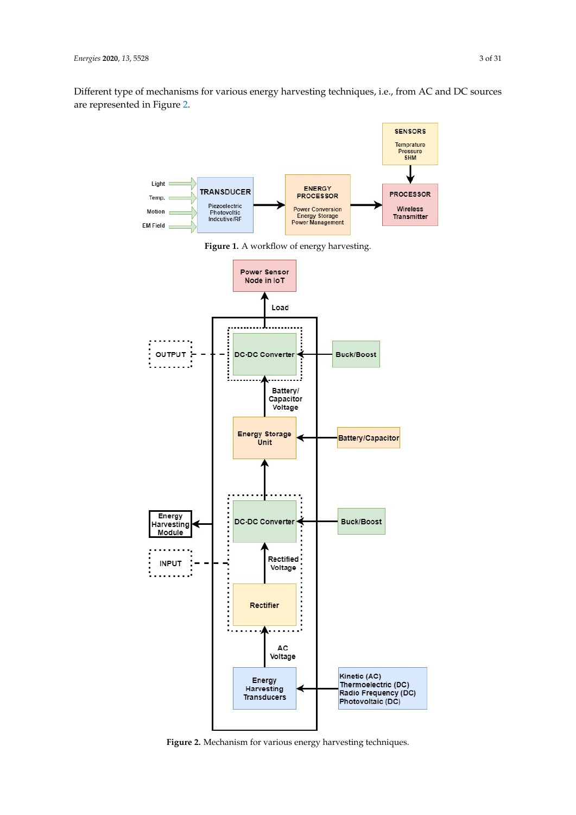<span id="page-2-0"></span>Different type of mechanisms for various energy harvesting techniques, i.e., from AC and DC sources are represented in Figure [2.](#page-2-1)



Figure 1. A workflow of energy harvesting.

<span id="page-2-1"></span>

**Figure 2.** Mechanism for various energy harvesting techniques.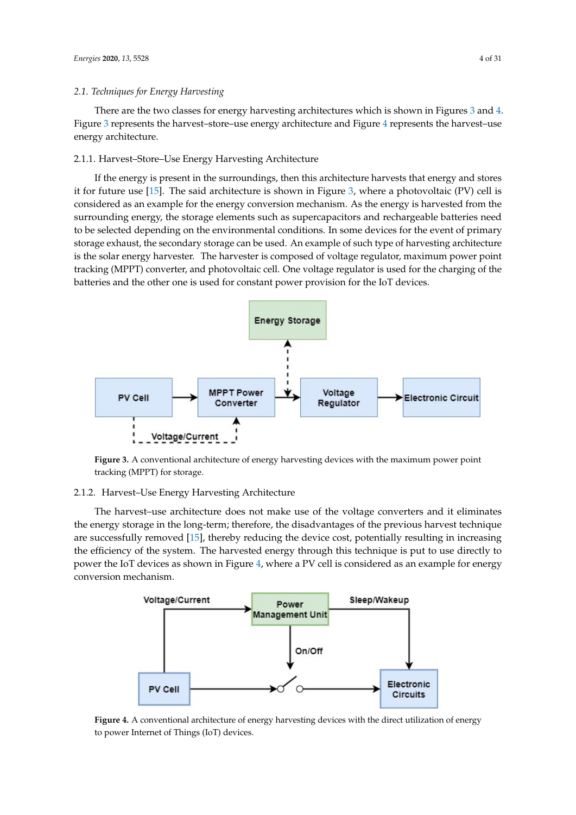There are the two classes for energy harvesting architectures which is shown in Figures [3](#page-3-0) and [4.](#page-3-1) Figure [3](#page-3-0) represents the harvest–store–use energy architecture and Figure [4](#page-3-1) represents the harvest–use energy architecture.

#### 2.1.1. Harvest–Store–Use Energy Harvesting Architecture

If the energy is present in the surroundings, then this architecture harvests that energy and stores it for future use [\[15\]](#page-22-4). The said architecture is shown in Figure [3,](#page-3-0) where a photovoltaic (PV) cell is considered as an example for the energy conversion mechanism. As the energy is harvested from the surrounding energy, the storage elements such as supercapacitors and rechargeable batteries need to be selected depending on the environmental conditions. In some devices for the event of primary storage exhaust, the secondary storage can be used. An example of such type of harvesting architecture is the solar energy harvester. The harvester is composed of voltage regulator, maximum power point tracking (MPPT) converter, and photovoltaic cell. One voltage regulator is used for the charging of the batteries and the other one is used for constant power provision for the IoT devices.

<span id="page-3-0"></span>

**Figure 3.** A conventional architecture of energy harvesting devices with the maximum power point tracking (MPPT) for storage.

## 2.1.2. Harvest–Use Energy Harvesting Architecture

The harvest–use architecture does not make use of the voltage converters and it eliminates the energy storage in the long-term; therefore, the disadvantages of the previous harvest technique are successfully removed [\[15\]](#page-22-4), thereby reducing the device cost, potentially resulting in increasing the efficiency of the system. The harvested energy through this technique is put to use directly to power the IoT devices as shown in Figure [4,](#page-3-1) where a PV cell is considered as an example for energy conversion mechanism.

<span id="page-3-1"></span>

**Figure 4.** A conventional architecture of energy harvesting devices with the direct utilization of energy to power Internet of Things (IoT) devices.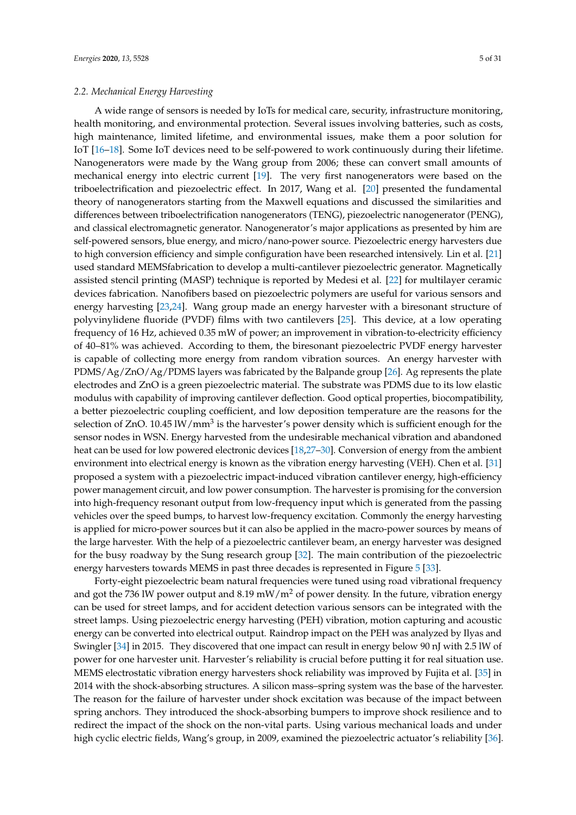A wide range of sensors is needed by IoTs for medical care, security, infrastructure monitoring, health monitoring, and environmental protection. Several issues involving batteries, such as costs, high maintenance, limited lifetime, and environmental issues, make them a poor solution for IoT [\[16–](#page-22-5)[18\]](#page-22-6). Some IoT devices need to be self-powered to work continuously during their lifetime. Nanogenerators were made by the Wang group from 2006; these can convert small amounts of mechanical energy into electric current [\[19\]](#page-22-7). The very first nanogenerators were based on the triboelectrification and piezoelectric effect. In 2017, Wang et al. [\[20\]](#page-22-8) presented the fundamental theory of nanogenerators starting from the Maxwell equations and discussed the similarities and differences between triboelectrification nanogenerators (TENG), piezoelectric nanogenerator (PENG), and classical electromagnetic generator. Nanogenerator's major applications as presented by him are self-powered sensors, blue energy, and micro/nano-power source. Piezoelectric energy harvesters due to high conversion efficiency and simple configuration have been researched intensively. Lin et al. [\[21\]](#page-22-9) used standard MEMSfabrication to develop a multi-cantilever piezoelectric generator. Magnetically assisted stencil printing (MASP) technique is reported by Medesi et al. [\[22\]](#page-22-10) for multilayer ceramic devices fabrication. Nanofibers based on piezoelectric polymers are useful for various sensors and energy harvesting [\[23](#page-22-11)[,24\]](#page-22-12). Wang group made an energy harvester with a biresonant structure of polyvinylidene fluoride (PVDF) films with two cantilevers [\[25\]](#page-22-13). This device, at a low operating frequency of 16 Hz, achieved 0.35 mW of power; an improvement in vibration-to-electricity efficiency of 40–81% was achieved. According to them, the biresonant piezoelectric PVDF energy harvester is capable of collecting more energy from random vibration sources. An energy harvester with PDMS/Ag/ZnO/Ag/PDMS layers was fabricated by the Balpande group [\[26\]](#page-22-14). Ag represents the plate electrodes and ZnO is a green piezoelectric material. The substrate was PDMS due to its low elastic modulus with capability of improving cantilever deflection. Good optical properties, biocompatibility, a better piezoelectric coupling coefficient, and low deposition temperature are the reasons for the selection of ZnO. 10.45 lW/mm $^3$  is the harvester's power density which is sufficient enough for the sensor nodes in WSN. Energy harvested from the undesirable mechanical vibration and abandoned heat can be used for low powered electronic devices [\[18,](#page-22-6)[27–](#page-22-15)[30\]](#page-22-16). Conversion of energy from the ambient environment into electrical energy is known as the vibration energy harvesting (VEH). Chen et al. [\[31\]](#page-22-17) proposed a system with a piezoelectric impact-induced vibration cantilever energy, high-efficiency power management circuit, and low power consumption. The harvester is promising for the conversion into high-frequency resonant output from low-frequency input which is generated from the passing vehicles over the speed bumps, to harvest low-frequency excitation. Commonly the energy harvesting is applied for micro-power sources but it can also be applied in the macro-power sources by means of the large harvester. With the help of a piezoelectric cantilever beam, an energy harvester was designed for the busy roadway by the Sung research group [\[32\]](#page-23-0). The main contribution of the piezoelectric energy harvesters towards MEMS in past three decades is represented in Figure [5](#page-5-0) [\[33\]](#page-23-1).

Forty-eight piezoelectric beam natural frequencies were tuned using road vibrational frequency and got the 736 IW power output and 8.19 mW/m<sup>2</sup> of power density. In the future, vibration energy can be used for street lamps, and for accident detection various sensors can be integrated with the street lamps. Using piezoelectric energy harvesting (PEH) vibration, motion capturing and acoustic energy can be converted into electrical output. Raindrop impact on the PEH was analyzed by Ilyas and Swingler [\[34\]](#page-23-2) in 2015. They discovered that one impact can result in energy below 90 nJ with 2.5 lW of power for one harvester unit. Harvester's reliability is crucial before putting it for real situation use. MEMS electrostatic vibration energy harvesters shock reliability was improved by Fujita et al. [\[35\]](#page-23-3) in 2014 with the shock-absorbing structures. A silicon mass–spring system was the base of the harvester. The reason for the failure of harvester under shock excitation was because of the impact between spring anchors. They introduced the shock-absorbing bumpers to improve shock resilience and to redirect the impact of the shock on the non-vital parts. Using various mechanical loads and under high cyclic electric fields, Wang's group, in 2009, examined the piezoelectric actuator's reliability [\[36\]](#page-23-4).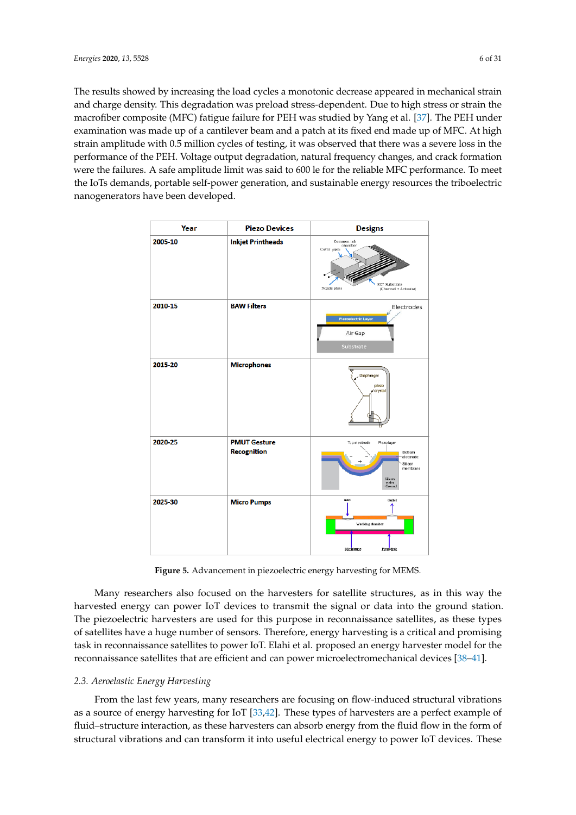The results showed by increasing the load cycles a monotonic decrease appeared in mechanical strain and charge density. This degradation was preload stress-dependent. Due to high stress or strain the macrofiber composite (MFC) fatigue failure for PEH was studied by Yang et al. [\[37\]](#page-23-5). The PEH under examination was made up of a cantilever beam and a patch at its fixed end made up of MFC. At high strain amplitude with 0.5 million cycles of testing, it was observed that there was a severe loss in the performance of the PEH. Voltage output degradation, natural frequency changes, and crack formation were the failures. A safe amplitude limit was said to 600 le for the reliable MFC performance. To meet the IoTs demands, portable self-power generation, and sustainable energy resources the triboelectric nanogenerators have been developed.

<span id="page-5-0"></span>

| Year    | <b>Piezo Devices</b>                      | <b>Designs</b>                                                                                            |
|---------|-------------------------------------------|-----------------------------------------------------------------------------------------------------------|
| 2005-10 | <b>Inkjet Printheads</b>                  | Common ink<br>chamber<br>Cover plate<br>PZT Substrate<br>Nozzle plate<br>(Channel + Actuator)             |
| 2010-15 | <b>BAW Filters</b>                        | Electrodes<br><b>Piezoelectric Layer</b><br>Air Gap<br>Substrate                                          |
| 2015-20 | <b>Microphones</b>                        | Diaphragm<br>piezo<br>√ crystal                                                                           |
| 2020-25 | <b>PMUT Gesture</b><br><b>Recognition</b> | Top electrode<br>Piezo layer<br>Bottom<br>electrode<br>Silicon<br>membrane<br>Silicon<br>wafer<br>-Ground |
| 2025-30 | <b>Micro Pumps</b>                        | Inlet<br>Outlet<br>Working chamber<br>Fieze disk<br>Membrane                                              |

**Figure 5.** Advancement in piezoelectric energy harvesting for MEMS.

Many researchers also focused on the harvesters for satellite structures, as in this way the harvested energy can power IoT devices to transmit the signal or data into the ground station. The piezoelectric harvesters are used for this purpose in reconnaissance satellites, as these types of satellites have a huge number of sensors. Therefore, energy harvesting is a critical and promising task in reconnaissance satellites to power IoT. Elahi et al. proposed an energy harvester model for the reconnaissance satellites that are efficient and can power microelectromechanical devices [\[38–](#page-23-6)[41\]](#page-23-7).

# *2.3. Aeroelastic Energy Harvesting*

From the last few years, many researchers are focusing on flow-induced structural vibrations as a source of energy harvesting for IoT [\[33](#page-23-1)[,42\]](#page-23-8). These types of harvesters are a perfect example of fluid–structure interaction, as these harvesters can absorb energy from the fluid flow in the form of structural vibrations and can transform it into useful electrical energy to power IoT devices. These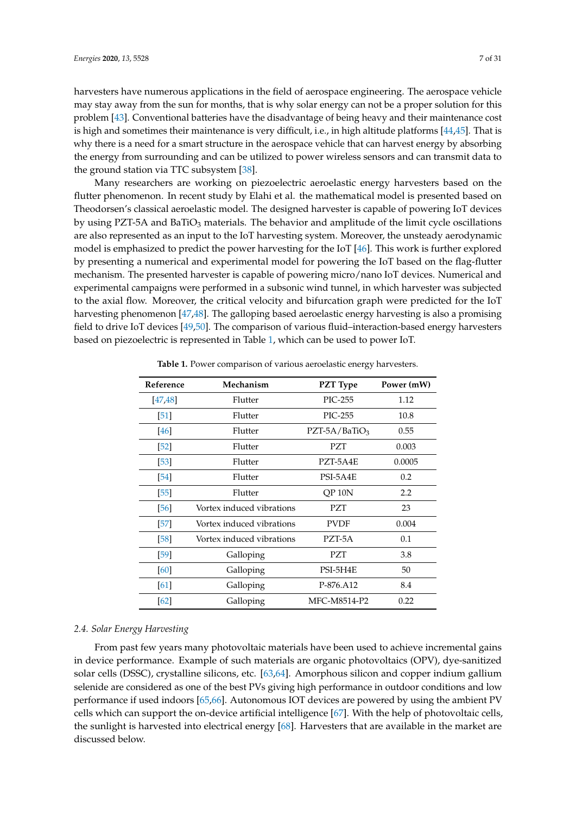harvesters have numerous applications in the field of aerospace engineering. The aerospace vehicle may stay away from the sun for months, that is why solar energy can not be a proper solution for this problem [\[43\]](#page-23-9). Conventional batteries have the disadvantage of being heavy and their maintenance cost is high and sometimes their maintenance is very difficult, i.e., in high altitude platforms [\[44,](#page-23-10)[45\]](#page-23-11). That is why there is a need for a smart structure in the aerospace vehicle that can harvest energy by absorbing the energy from surrounding and can be utilized to power wireless sensors and can transmit data to the ground station via TTC subsystem [\[38\]](#page-23-6).

Many researchers are working on piezoelectric aeroelastic energy harvesters based on the flutter phenomenon. In recent study by Elahi et al. the mathematical model is presented based on Theodorsen's classical aeroelastic model. The designed harvester is capable of powering IoT devices by using PZT-5A and BaTiO<sub>3</sub> materials. The behavior and amplitude of the limit cycle oscillations are also represented as an input to the IoT harvesting system. Moreover, the unsteady aerodynamic model is emphasized to predict the power harvesting for the IoT [\[46\]](#page-23-12). This work is further explored by presenting a numerical and experimental model for powering the IoT based on the flag-flutter mechanism. The presented harvester is capable of powering micro/nano IoT devices. Numerical and experimental campaigns were performed in a subsonic wind tunnel, in which harvester was subjected to the axial flow. Moreover, the critical velocity and bifurcation graph were predicted for the IoT harvesting phenomenon [\[47](#page-23-13)[,48\]](#page-23-14). The galloping based aeroelastic energy harvesting is also a promising field to drive IoT devices [\[49,](#page-23-15)[50\]](#page-23-16). The comparison of various fluid–interaction-based energy harvesters based on piezoelectric is represented in Table [1,](#page-6-0) which can be used to power IoT.

<span id="page-6-0"></span>

| Reference | Mechanism                 | PZT Type                  | Power (mW) |
|-----------|---------------------------|---------------------------|------------|
| [47, 48]  | Flutter                   | PIC-255                   | 1.12       |
| [51]      | Flutter                   | PIC-255                   | 10.8       |
| [46]      | Flutter                   | PZT-5A/BaTiO <sub>3</sub> | 0.55       |
| [52]      | Flutter                   | <b>PZT</b>                | 0.003      |
| $[53]$    | Flutter                   | PZT-5A4E                  | 0.0005     |
| [54]      | Flutter                   | PSI-5A4E                  | 0.2        |
| $[55]$    | Flutter                   | OP 10N                    | 2.2        |
| [56]      | Vortex induced vibrations | PZT                       | 23         |
| [57]      | Vortex induced vibrations | <b>PVDF</b>               | 0.004      |
| [58]      | Vortex induced vibrations | PZT-5A                    | 0.1        |
| [59]      | Galloping                 | PZT                       | 3.8        |
| [60]      | Galloping                 | PSI-5H4E                  | 50         |
| [61]      | Galloping                 | P-876.A12                 | 8.4        |
| [62]      | Galloping                 | MFC-M8514-P2              | 0.22       |

**Table 1.** Power comparison of various aeroelastic energy harvesters.

#### *2.4. Solar Energy Harvesting*

From past few years many photovoltaic materials have been used to achieve incremental gains in device performance. Example of such materials are organic photovoltaics (OPV), dye-sanitized solar cells (DSSC), crystalline silicons, etc. [\[63](#page-24-10)[,64\]](#page-24-11). Amorphous silicon and copper indium gallium selenide are considered as one of the best PVs giving high performance in outdoor conditions and low performance if used indoors [\[65](#page-24-12)[,66\]](#page-24-13). Autonomous IOT devices are powered by using the ambient PV cells which can support the on-device artificial intelligence [\[67\]](#page-24-14). With the help of photovoltaic cells, the sunlight is harvested into electrical energy [\[68\]](#page-24-15). Harvesters that are available in the market are discussed below.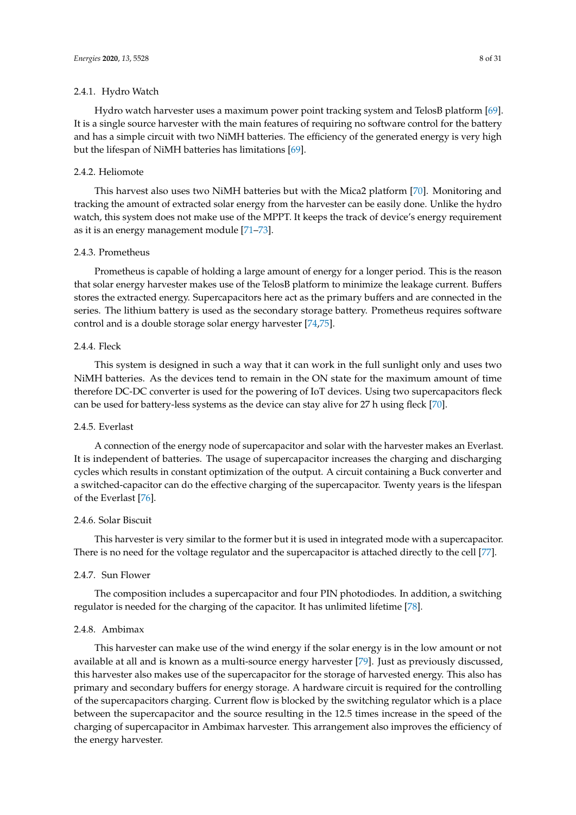## 2.4.1. Hydro Watch

Hydro watch harvester uses a maximum power point tracking system and TelosB platform [\[69\]](#page-24-16). It is a single source harvester with the main features of requiring no software control for the battery and has a simple circuit with two NiMH batteries. The efficiency of the generated energy is very high but the lifespan of NiMH batteries has limitations [\[69\]](#page-24-16).

## 2.4.2. Heliomote

This harvest also uses two NiMH batteries but with the Mica2 platform [\[70\]](#page-24-17). Monitoring and tracking the amount of extracted solar energy from the harvester can be easily done. Unlike the hydro watch, this system does not make use of the MPPT. It keeps the track of device's energy requirement as it is an energy management module [\[71](#page-24-18)[–73\]](#page-24-19).

# 2.4.3. Prometheus

Prometheus is capable of holding a large amount of energy for a longer period. This is the reason that solar energy harvester makes use of the TelosB platform to minimize the leakage current. Buffers stores the extracted energy. Supercapacitors here act as the primary buffers and are connected in the series. The lithium battery is used as the secondary storage battery. Prometheus requires software control and is a double storage solar energy harvester [\[74,](#page-24-20)[75\]](#page-25-0).

# 2.4.4. Fleck

This system is designed in such a way that it can work in the full sunlight only and uses two NiMH batteries. As the devices tend to remain in the ON state for the maximum amount of time therefore DC-DC converter is used for the powering of IoT devices. Using two supercapacitors fleck can be used for battery-less systems as the device can stay alive for 27 h using fleck [\[70\]](#page-24-17).

## 2.4.5. Everlast

A connection of the energy node of supercapacitor and solar with the harvester makes an Everlast. It is independent of batteries. The usage of supercapacitor increases the charging and discharging cycles which results in constant optimization of the output. A circuit containing a Buck converter and a switched-capacitor can do the effective charging of the supercapacitor. Twenty years is the lifespan of the Everlast [\[76\]](#page-25-1).

#### 2.4.6. Solar Biscuit

This harvester is very similar to the former but it is used in integrated mode with a supercapacitor. There is no need for the voltage regulator and the supercapacitor is attached directly to the cell [\[77\]](#page-25-2).

#### 2.4.7. Sun Flower

The composition includes a supercapacitor and four PIN photodiodes. In addition, a switching regulator is needed for the charging of the capacitor. It has unlimited lifetime [\[78\]](#page-25-3).

# 2.4.8. Ambimax

This harvester can make use of the wind energy if the solar energy is in the low amount or not available at all and is known as a multi-source energy harvester [\[79\]](#page-25-4). Just as previously discussed, this harvester also makes use of the supercapacitor for the storage of harvested energy. This also has primary and secondary buffers for energy storage. A hardware circuit is required for the controlling of the supercapacitors charging. Current flow is blocked by the switching regulator which is a place between the supercapacitor and the source resulting in the 12.5 times increase in the speed of the charging of supercapacitor in Ambimax harvester. This arrangement also improves the efficiency of the energy harvester.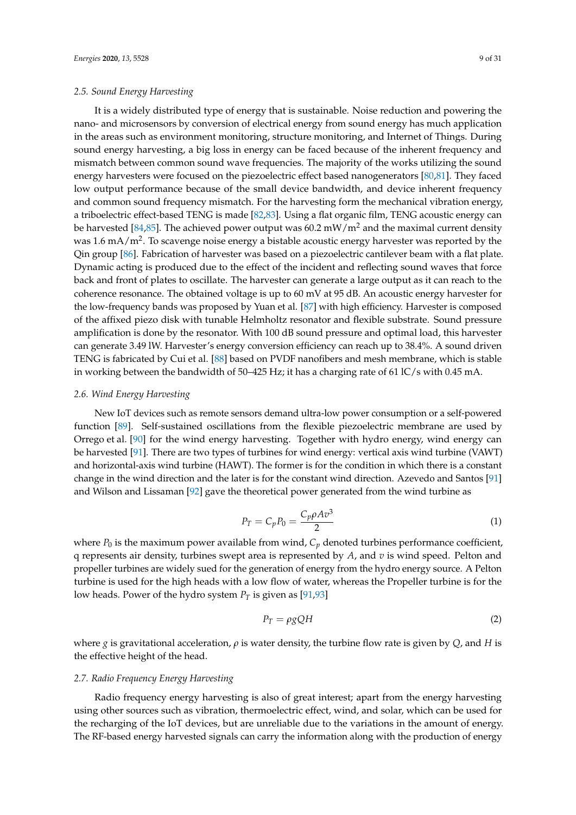# *2.5. Sound Energy Harvesting*

It is a widely distributed type of energy that is sustainable. Noise reduction and powering the nano- and microsensors by conversion of electrical energy from sound energy has much application in the areas such as environment monitoring, structure monitoring, and Internet of Things. During sound energy harvesting, a big loss in energy can be faced because of the inherent frequency and mismatch between common sound wave frequencies. The majority of the works utilizing the sound energy harvesters were focused on the piezoelectric effect based nanogenerators [\[80](#page-25-5)[,81\]](#page-25-6). They faced low output performance because of the small device bandwidth, and device inherent frequency and common sound frequency mismatch. For the harvesting form the mechanical vibration energy, a triboelectric effect-based TENG is made [\[82](#page-25-7)[,83\]](#page-25-8). Using a flat organic film, TENG acoustic energy can be harvested [\[84,](#page-25-9)[85\]](#page-25-10). The achieved power output was  $60.2$  mW/m<sup>2</sup> and the maximal current density was 1.6 mA/m<sup>2</sup>. To scavenge noise energy a bistable acoustic energy harvester was reported by the Qin group [\[86\]](#page-25-11). Fabrication of harvester was based on a piezoelectric cantilever beam with a flat plate. Dynamic acting is produced due to the effect of the incident and reflecting sound waves that force back and front of plates to oscillate. The harvester can generate a large output as it can reach to the coherence resonance. The obtained voltage is up to 60 mV at 95 dB. An acoustic energy harvester for the low-frequency bands was proposed by Yuan et al. [\[87\]](#page-25-12) with high efficiency. Harvester is composed of the affixed piezo disk with tunable Helmholtz resonator and flexible substrate. Sound pressure amplification is done by the resonator. With 100 dB sound pressure and optimal load, this harvester can generate 3.49 lW. Harvester's energy conversion efficiency can reach up to 38.4%. A sound driven TENG is fabricated by Cui et al. [\[88\]](#page-25-13) based on PVDF nanofibers and mesh membrane, which is stable in working between the bandwidth of 50–425 Hz; it has a charging rate of 61 lC/s with 0.45 mA.

#### *2.6. Wind Energy Harvesting*

New IoT devices such as remote sensors demand ultra-low power consumption or a self-powered function [\[89\]](#page-25-14). Self-sustained oscillations from the flexible piezoelectric membrane are used by Orrego et al. [\[90\]](#page-25-15) for the wind energy harvesting. Together with hydro energy, wind energy can be harvested [\[91\]](#page-25-16). There are two types of turbines for wind energy: vertical axis wind turbine (VAWT) and horizontal-axis wind turbine (HAWT). The former is for the condition in which there is a constant change in the wind direction and the later is for the constant wind direction. Azevedo and Santos [\[91\]](#page-25-16) and Wilson and Lissaman [\[92\]](#page-25-17) gave the theoretical power generated from the wind turbine as

$$
P_T = C_p P_0 = \frac{C_p \rho A v^3}{2} \tag{1}
$$

where  $P_0$  is the maximum power available from wind,  $C_p$  denoted turbines performance coefficient, q represents air density, turbines swept area is represented by *A*, and *v* is wind speed. Pelton and propeller turbines are widely sued for the generation of energy from the hydro energy source. A Pelton turbine is used for the high heads with a low flow of water, whereas the Propeller turbine is for the low heads. Power of the hydro system *P<sup>T</sup>* is given as [\[91](#page-25-16)[,93\]](#page-25-18)

$$
P_T = \rho g Q H \tag{2}
$$

where *g* is gravitational acceleration, *ρ* is water density, the turbine flow rate is given by *Q*, and *H* is the effective height of the head.

#### *2.7. Radio Frequency Energy Harvesting*

Radio frequency energy harvesting is also of great interest; apart from the energy harvesting using other sources such as vibration, thermoelectric effect, wind, and solar, which can be used for the recharging of the IoT devices, but are unreliable due to the variations in the amount of energy. The RF-based energy harvested signals can carry the information along with the production of energy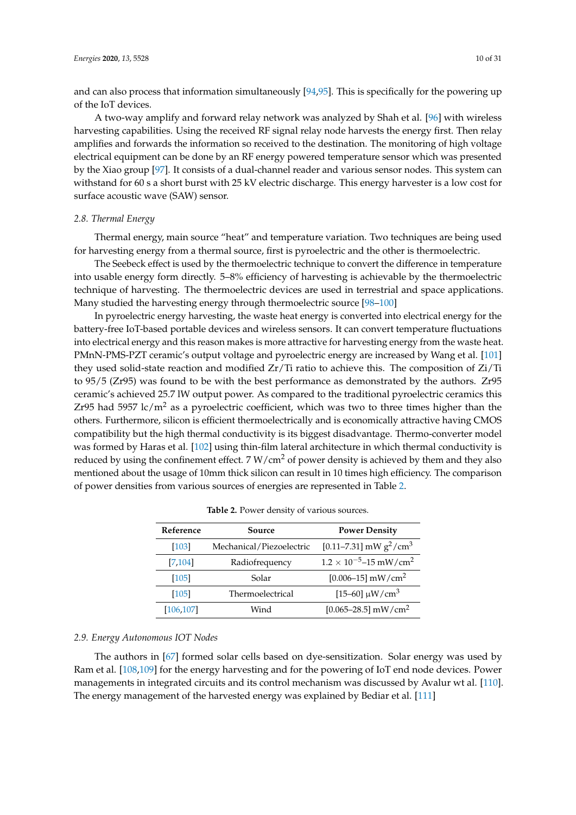and can also process that information simultaneously [\[94,](#page-25-19)[95\]](#page-25-20). This is specifically for the powering up of the IoT devices.

A two-way amplify and forward relay network was analyzed by Shah et al. [\[96\]](#page-25-21) with wireless harvesting capabilities. Using the received RF signal relay node harvests the energy first. Then relay amplifies and forwards the information so received to the destination. The monitoring of high voltage electrical equipment can be done by an RF energy powered temperature sensor which was presented by the Xiao group [\[97\]](#page-25-22). It consists of a dual-channel reader and various sensor nodes. This system can withstand for 60 s a short burst with 25 kV electric discharge. This energy harvester is a low cost for surface acoustic wave (SAW) sensor.

#### *2.8. Thermal Energy*

Thermal energy, main source "heat" and temperature variation. Two techniques are being used for harvesting energy from a thermal source, first is pyroelectric and the other is thermoelectric.

The Seebeck effect is used by the thermoelectric technique to convert the difference in temperature into usable energy form directly. 5–8% efficiency of harvesting is achievable by the thermoelectric technique of harvesting. The thermoelectric devices are used in terrestrial and space applications. Many studied the harvesting energy through thermoelectric source [\[98](#page-26-0)[–100\]](#page-26-1)

In pyroelectric energy harvesting, the waste heat energy is converted into electrical energy for the battery-free IoT-based portable devices and wireless sensors. It can convert temperature fluctuations into electrical energy and this reason makes is more attractive for harvesting energy from the waste heat. PMnN-PMS-PZT ceramic's output voltage and pyroelectric energy are increased by Wang et al. [\[101\]](#page-26-2) they used solid-state reaction and modified  $Zr/Ti$  ratio to achieve this. The composition of  $Zi/Ti$ to 95/5 (Zr95) was found to be with the best performance as demonstrated by the authors. Zr95 ceramic's achieved 25.7 lW output power. As compared to the traditional pyroelectric ceramics this Zr95 had 5957  $\rm lc/m<sup>2</sup>$  as a pyroelectric coefficient, which was two to three times higher than the others. Furthermore, silicon is efficient thermoelectrically and is economically attractive having CMOS compatibility but the high thermal conductivity is its biggest disadvantage. Thermo-converter model was formed by Haras et al. [\[102\]](#page-26-3) using thin-film lateral architecture in which thermal conductivity is reduced by using the confinement effect.  $7 W/cm<sup>2</sup>$  of power density is achieved by them and they also mentioned about the usage of 10mm thick silicon can result in 10 times high efficiency. The comparison of power densities from various sources of energies are represented in Table [2.](#page-9-0)

<span id="page-9-0"></span>

| Reference           | Source                   | <b>Power Density</b>                        |
|---------------------|--------------------------|---------------------------------------------|
| $[103]$             | Mechanical/Piezoelectric | [0.11–7.31] mW $g^2$ /cm <sup>3</sup>       |
| [7, 104]            | Radiofrequency           | $1.2 \times 10^{-5}$ –15 mW/cm <sup>2</sup> |
| $\lceil 105 \rceil$ | Solar                    | $[0.006-15]$ mW/cm <sup>2</sup>             |
| $\lceil 105 \rceil$ | Thermoelectrical         | [15–60] $\mu$ W/cm <sup>3</sup>             |
| [106, 107]          | Wind                     | $[0.065 - 28.5]$ mW/cm <sup>2</sup>         |

**Table 2.** Power density of various sources.

#### *2.9. Energy Autonomous IOT Nodes*

The authors in [\[67\]](#page-24-14) formed solar cells based on dye-sensitization. Solar energy was used by Ram et al. [\[108,](#page-26-9)[109\]](#page-26-10) for the energy harvesting and for the powering of IoT end node devices. Power managements in integrated circuits and its control mechanism was discussed by Avalur wt al. [\[110\]](#page-26-11). The energy management of the harvested energy was explained by Bediar et al. [\[111\]](#page-26-12)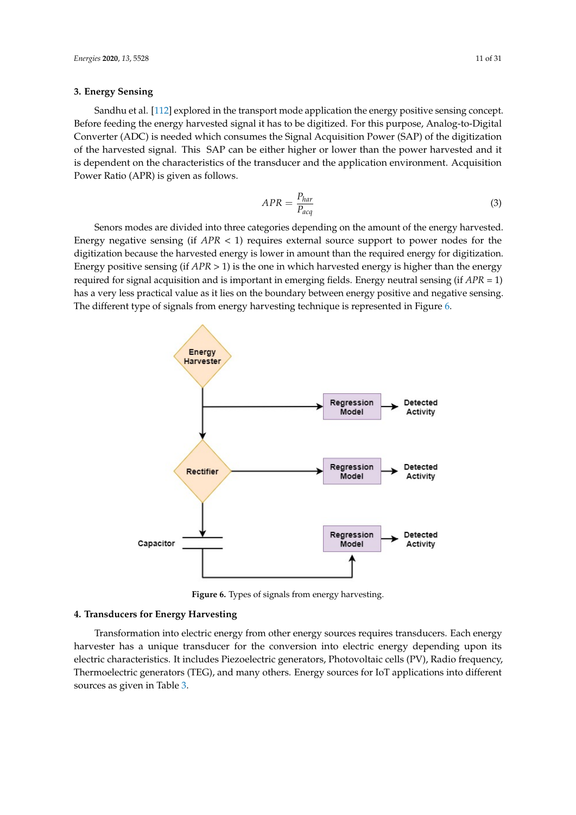# <span id="page-10-0"></span>**3. Energy Sensing**

Sandhu et al. [\[112\]](#page-26-13) explored in the transport mode application the energy positive sensing concept. Before feeding the energy harvested signal it has to be digitized. For this purpose, Analog-to-Digital Converter (ADC) is needed which consumes the Signal Acquisition Power (SAP) of the digitization of the harvested signal. This SAP can be either higher or lower than the power harvested and it is dependent on the characteristics of the transducer and the application environment. Acquisition Power Ratio (APR) is given as follows.

$$
APR = \frac{P_{har}}{P_{acq}}\tag{3}
$$

Senors modes are divided into three categories depending on the amount of the energy harvested. Energy negative sensing (if *APR* < 1) requires external source support to power nodes for the digitization because the harvested energy is lower in amount than the required energy for digitization. Energy positive sensing (if *APR* > 1) is the one in which harvested energy is higher than the energy required for signal acquisition and is important in emerging fields. Energy neutral sensing (if *APR* = 1) has a very less practical value as it lies on the boundary between energy positive and negative sensing. The different type of signals from energy harvesting technique is represented in Figure [6.](#page-10-2)

<span id="page-10-2"></span>

**Figure 6.** Types of signals from energy harvesting.

# <span id="page-10-1"></span>**4. Transducers for Energy Harvesting**

Transformation into electric energy from other energy sources requires transducers. Each energy harvester has a unique transducer for the conversion into electric energy depending upon its electric characteristics. It includes Piezoelectric generators, Photovoltaic cells (PV), Radio frequency, Thermoelectric generators (TEG), and many others. Energy sources for IoT applications into different sources as given in Table [3.](#page-11-1)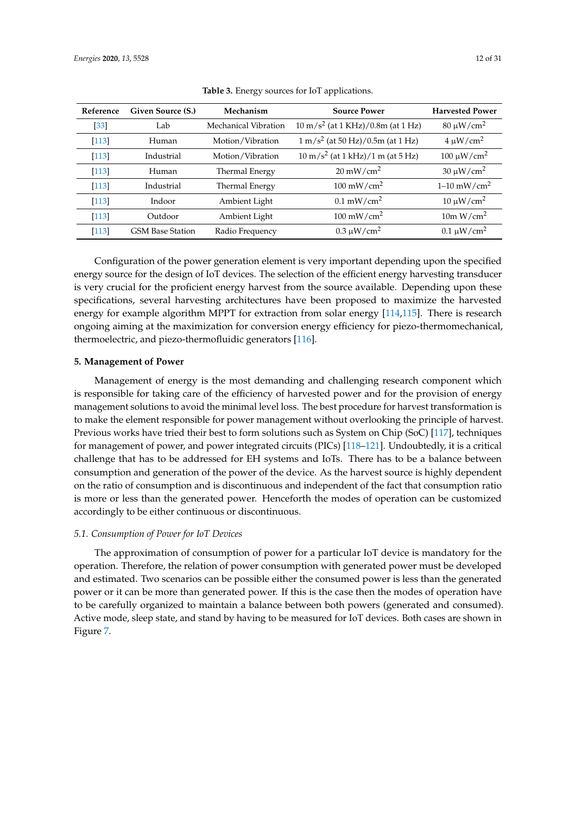<span id="page-11-1"></span>

| Reference | Given Source (S.)       | Mechanism            | <b>Source Power</b>                          | <b>Harvested Power</b>    |
|-----------|-------------------------|----------------------|----------------------------------------------|---------------------------|
| $[33]$    | Lab                     | Mechanical Vibration | $10 \text{ m/s}^2$ (at 1 KHz)/0.8m (at 1 Hz) | $80 \mu W/cm^2$           |
| $[113]$   | Human                   | Motion/Vibration     | $1 \text{ m/s}^2$ (at 50 Hz)/0.5m (at 1 Hz)  | $4 \mu W/cm^2$            |
| $[113]$   | Industrial              | Motion/Vibration     | $10 \text{ m/s}^2$ (at 1 kHz)/1 m (at 5 Hz)  | $100 \mu W/cm^2$          |
| $[113]$   | Human                   | Thermal Energy       | $20 \text{ mW/cm}^2$                         | $30 \mu W/cm^2$           |
| $[113]$   | Industrial              | Thermal Energy       | $100 \text{ mW/cm}^2$                        | $1-10$ mW/cm <sup>2</sup> |
| $[113]$   | Indoor                  | Ambient Light        | $0.1$ mW/cm <sup>2</sup>                     | $10 \mu W/cm^2$           |
| $[113]$   | Outdoor                 | Ambient Light        | $100 \text{ mW/cm}^2$                        | 10m W/cm <sup>2</sup>     |
| $[113]$   | <b>GSM Base Station</b> | Radio Frequency      | $0.3 \mu W/cm^2$                             | $0.1 \mu W/cm^2$          |

**Table 3.** Energy sources for IoT applications.

Configuration of the power generation element is very important depending upon the specified energy source for the design of IoT devices. The selection of the efficient energy harvesting transducer is very crucial for the proficient energy harvest from the source available. Depending upon these specifications, several harvesting architectures have been proposed to maximize the harvested energy for example algorithm MPPT for extraction from solar energy [\[114](#page-26-15)[,115\]](#page-26-16). There is research ongoing aiming at the maximization for conversion energy efficiency for piezo-thermomechanical, thermoelectric, and piezo-thermofluidic generators [\[116\]](#page-26-17).

#### <span id="page-11-0"></span>**5. Management of Power**

Management of energy is the most demanding and challenging research component which is responsible for taking care of the efficiency of harvested power and for the provision of energy management solutions to avoid the minimal level loss. The best procedure for harvest transformation is to make the element responsible for power management without overlooking the principle of harvest. Previous works have tried their best to form solutions such as System on Chip (SoC) [\[117\]](#page-27-0), techniques for management of power, and power integrated circuits (PICs) [\[118–](#page-27-1)[121\]](#page-27-2). Undoubtedly, it is a critical challenge that has to be addressed for EH systems and IoTs. There has to be a balance between consumption and generation of the power of the device. As the harvest source is highly dependent on the ratio of consumption and is discontinuous and independent of the fact that consumption ratio is more or less than the generated power. Henceforth the modes of operation can be customized accordingly to be either continuous or discontinuous.

## *5.1. Consumption of Power for IoT Devices*

The approximation of consumption of power for a particular IoT device is mandatory for the operation. Therefore, the relation of power consumption with generated power must be developed and estimated. Two scenarios can be possible either the consumed power is less than the generated power or it can be more than generated power. If this is the case then the modes of operation have to be carefully organized to maintain a balance between both powers (generated and consumed). Active mode, sleep state, and stand by having to be measured for IoT devices. Both cases are shown in Figure [7.](#page-12-1)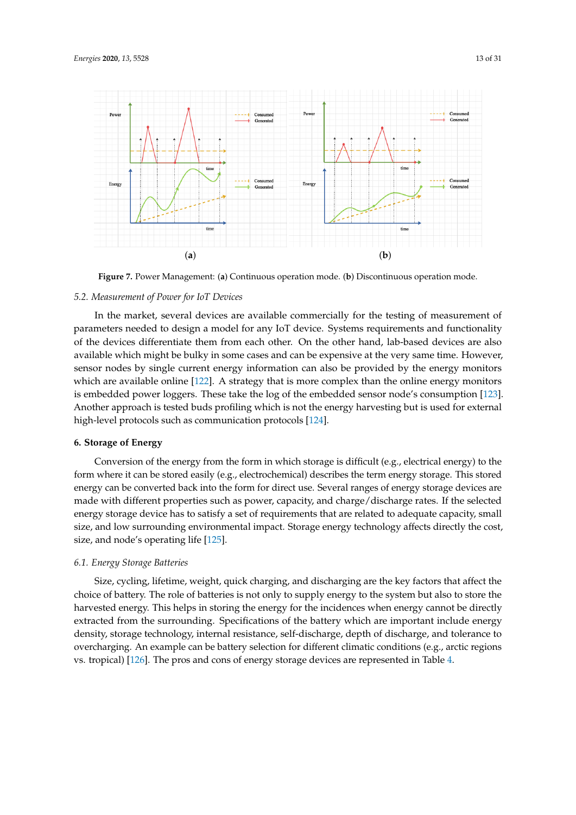<span id="page-12-1"></span>

**Figure 7.** Power Management: (**a**) Continuous operation mode. (**b**) Discontinuous operation mode.

## <span id="page-12-0"></span>*5.2. Measurement of Power for IoT Devices*

In the market, several devices are available commercially for the testing of measurement of parameters needed to design a model for any IoT device. Systems requirements and functionality of the devices differentiate them from each other. On the other hand, lab-based devices are also available which might be bulky in some cases and can be expensive at the very same time. However, sensor nodes by single current energy information can also be provided by the energy monitors which are available online [\[122\]](#page-27-3). A strategy that is more complex than the online energy monitors is embedded power loggers. These take the log of the embedded sensor node's consumption [\[123\]](#page-27-4). Another approach is tested buds profiling which is not the energy harvesting but is used for external high-level protocols such as communication protocols [\[124\]](#page-27-5).

# **6. Storage of Energy**

Conversion of the energy from the form in which storage is difficult (e.g., electrical energy) to the form where it can be stored easily (e.g., electrochemical) describes the term energy storage. This stored energy can be converted back into the form for direct use. Several ranges of energy storage devices are made with different properties such as power, capacity, and charge/discharge rates. If the selected energy storage device has to satisfy a set of requirements that are related to adequate capacity, small size, and low surrounding environmental impact. Storage energy technology affects directly the cost, size, and node's operating life [\[125\]](#page-27-6).

#### *6.1. Energy Storage Batteries*

Size, cycling, lifetime, weight, quick charging, and discharging are the key factors that affect the choice of battery. The role of batteries is not only to supply energy to the system but also to store the harvested energy. This helps in storing the energy for the incidences when energy cannot be directly extracted from the surrounding. Specifications of the battery which are important include energy density, storage technology, internal resistance, self-discharge, depth of discharge, and tolerance to overcharging. An example can be battery selection for different climatic conditions (e.g., arctic regions vs. tropical) [\[126\]](#page-27-7). The pros and cons of energy storage devices are represented in Table [4.](#page-13-0)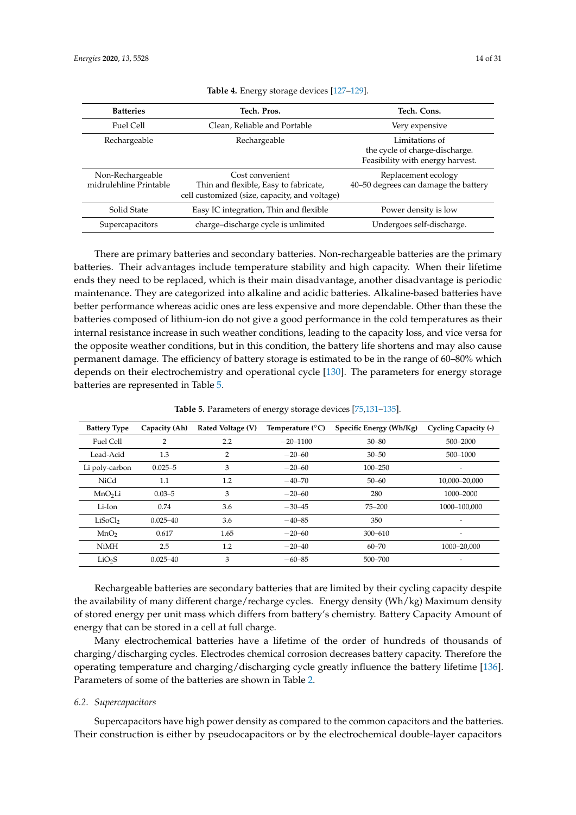<span id="page-13-0"></span>

| <b>Batteries</b>                           | Tech. Pros.                                                                                               | Tech. Cons.                                                                          |
|--------------------------------------------|-----------------------------------------------------------------------------------------------------------|--------------------------------------------------------------------------------------|
| Fuel Cell                                  | Clean, Reliable and Portable                                                                              | Very expensive                                                                       |
| Rechargeable                               | Rechargeable                                                                                              | Limitations of<br>the cycle of charge-discharge.<br>Feasibility with energy harvest. |
| Non-Rechargeable<br>midrulehline Printable | Cost convenient<br>Thin and flexible, Easy to fabricate,<br>cell customized (size, capacity, and voltage) | Replacement ecology<br>40-50 degrees can damage the battery                          |
| Solid State                                | Easy IC integration, Thin and flexible                                                                    | Power density is low                                                                 |
| Supercapacitors                            | charge-discharge cycle is unlimited                                                                       | Undergoes self-discharge.                                                            |

|  |  |  | Table 4. Energy storage devices [127-129]. |  |  |  |
|--|--|--|--------------------------------------------|--|--|--|
|--|--|--|--------------------------------------------|--|--|--|

There are primary batteries and secondary batteries. Non-rechargeable batteries are the primary batteries. Their advantages include temperature stability and high capacity. When their lifetime ends they need to be replaced, which is their main disadvantage, another disadvantage is periodic maintenance. They are categorized into alkaline and acidic batteries. Alkaline-based batteries have better performance whereas acidic ones are less expensive and more dependable. Other than these the batteries composed of lithium-ion do not give a good performance in the cold temperatures as their internal resistance increase in such weather conditions, leading to the capacity loss, and vice versa for the opposite weather conditions, but in this condition, the battery life shortens and may also cause permanent damage. The efficiency of battery storage is estimated to be in the range of 60–80% which depends on their electrochemistry and operational cycle [\[130\]](#page-27-10). The parameters for energy storage batteries are represented in Table [5.](#page-13-1)

<span id="page-13-1"></span>

| <b>Battery Type</b> | Capacity (Ah) | Rated Voltage (V) | Temperature $(^{\circ}C)$ | Specific Energy (Wh/Kg) | Cycling Capacity (-) |
|---------------------|---------------|-------------------|---------------------------|-------------------------|----------------------|
| Fuel Cell           | 2             | 2.2               | $-20 - 1100$              | $30 - 80$               | 500-2000             |
| Lead-Acid           | 1.3           | $\overline{2}$    | $-20 - 60$                | $30 - 50$               | 500-1000             |
| Li poly-carbon      | $0.025 - 5$   | 3                 | $-20 - 60$                | $100 - 250$             |                      |
| NiCd                | 1.1           | 1.2               | $-40 - 70$                | $50 - 60$               | 10,000-20,000        |
| MnO <sub>2</sub> Li | $0.03 - 5$    | 3                 | $-20 - 60$                | 280                     | 1000-2000            |
| Li-Ion              | 0.74          | 3.6               | $-30-45$                  | $75 - 200$              | 1000-100.000         |
| LiSoCl <sub>2</sub> | $0.025 - 40$  | 3.6               | $-40 - 85$                | 350                     |                      |
| MnO <sub>2</sub>    | 0.617         | 1.65              | $-20 - 60$                | $300 - 610$             |                      |
| <b>NiMH</b>         | 2.5           | 1.2               | $-20 - 40$                | $60 - 70$               | 1000-20,000          |
| LiO <sub>2</sub> S  | $0.025 - 40$  | 3                 | $-60 - 85$                | 500-700                 |                      |

**Table 5.** Parameters of energy storage devices [\[75,](#page-25-0)[131–](#page-27-11)[135\]](#page-27-12).

Rechargeable batteries are secondary batteries that are limited by their cycling capacity despite the availability of many different charge/recharge cycles. Energy density (Wh/kg) Maximum density of stored energy per unit mass which differs from battery's chemistry. Battery Capacity Amount of energy that can be stored in a cell at full charge.

Many electrochemical batteries have a lifetime of the order of hundreds of thousands of charging/discharging cycles. Electrodes chemical corrosion decreases battery capacity. Therefore the operating temperature and charging/discharging cycle greatly influence the battery lifetime [\[136\]](#page-27-13). Parameters of some of the batteries are shown in Table [2.](#page-9-0)

## *6.2. Supercapacitors*

Supercapacitors have high power density as compared to the common capacitors and the batteries. Their construction is either by pseudocapacitors or by the electrochemical double-layer capacitors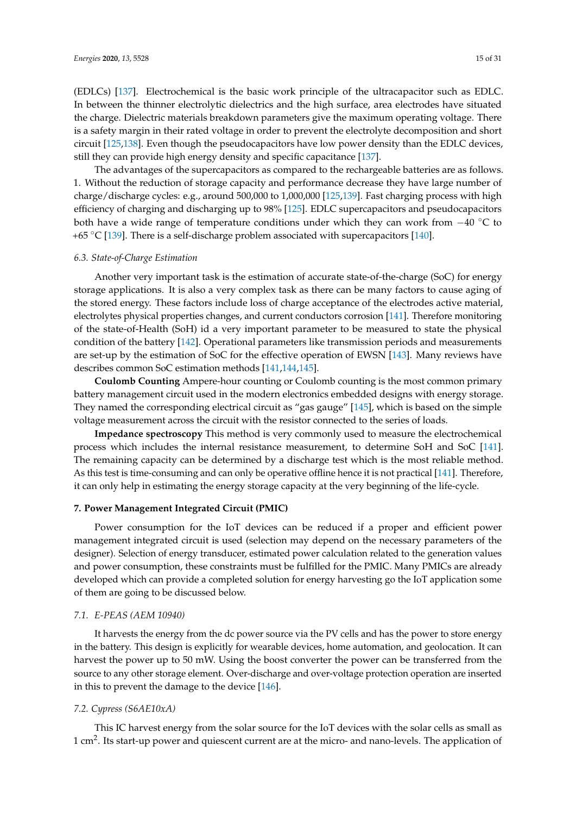(EDLCs) [\[137\]](#page-28-0). Electrochemical is the basic work principle of the ultracapacitor such as EDLC. In between the thinner electrolytic dielectrics and the high surface, area electrodes have situated the charge. Dielectric materials breakdown parameters give the maximum operating voltage. There is a safety margin in their rated voltage in order to prevent the electrolyte decomposition and short circuit [\[125,](#page-27-6)[138\]](#page-28-1). Even though the pseudocapacitors have low power density than the EDLC devices, still they can provide high energy density and specific capacitance [\[137\]](#page-28-0).

The advantages of the supercapacitors as compared to the rechargeable batteries are as follows. 1. Without the reduction of storage capacity and performance decrease they have large number of charge/discharge cycles: e.g., around 500,000 to 1,000,000 [\[125,](#page-27-6)[139\]](#page-28-2). Fast charging process with high efficiency of charging and discharging up to 98% [\[125\]](#page-27-6). EDLC supercapacitors and pseudocapacitors both have a wide range of temperature conditions under which they can work from −40 ◦C to +65  $\degree$ C [\[139\]](#page-28-2). There is a self-discharge problem associated with supercapacitors [\[140\]](#page-28-3).

## *6.3. State-of-Charge Estimation*

Another very important task is the estimation of accurate state-of-the-charge (SoC) for energy storage applications. It is also a very complex task as there can be many factors to cause aging of the stored energy. These factors include loss of charge acceptance of the electrodes active material, electrolytes physical properties changes, and current conductors corrosion [\[141\]](#page-28-4). Therefore monitoring of the state-of-Health (SoH) id a very important parameter to be measured to state the physical condition of the battery [\[142\]](#page-28-5). Operational parameters like transmission periods and measurements are set-up by the estimation of SoC for the effective operation of EWSN [\[143\]](#page-28-6). Many reviews have describes common SoC estimation methods [\[141,](#page-28-4)[144,](#page-28-7)[145\]](#page-28-8).

**Coulomb Counting** Ampere-hour counting or Coulomb counting is the most common primary battery management circuit used in the modern electronics embedded designs with energy storage. They named the corresponding electrical circuit as "gas gauge" [\[145\]](#page-28-8), which is based on the simple voltage measurement across the circuit with the resistor connected to the series of loads.

**Impedance spectroscopy** This method is very commonly used to measure the electrochemical process which includes the internal resistance measurement, to determine SoH and SoC [\[141\]](#page-28-4). The remaining capacity can be determined by a discharge test which is the most reliable method. As this test is time-consuming and can only be operative offline hence it is not practical [\[141\]](#page-28-4). Therefore, it can only help in estimating the energy storage capacity at the very beginning of the life-cycle.

## <span id="page-14-0"></span>**7. Power Management Integrated Circuit (PMIC)**

Power consumption for the IoT devices can be reduced if a proper and efficient power management integrated circuit is used (selection may depend on the necessary parameters of the designer). Selection of energy transducer, estimated power calculation related to the generation values and power consumption, these constraints must be fulfilled for the PMIC. Many PMICs are already developed which can provide a completed solution for energy harvesting go the IoT application some of them are going to be discussed below.

#### *7.1. E-PEAS (AEM 10940)*

It harvests the energy from the dc power source via the PV cells and has the power to store energy in the battery. This design is explicitly for wearable devices, home automation, and geolocation. It can harvest the power up to 50 mW. Using the boost converter the power can be transferred from the source to any other storage element. Over-discharge and over-voltage protection operation are inserted in this to prevent the damage to the device [\[146\]](#page-28-9).

#### *7.2. Cypress (S6AE10xA)*

This IC harvest energy from the solar source for the IoT devices with the solar cells as small as 1 cm<sup>2</sup>. Its start-up power and quiescent current are at the micro- and nano-levels. The application of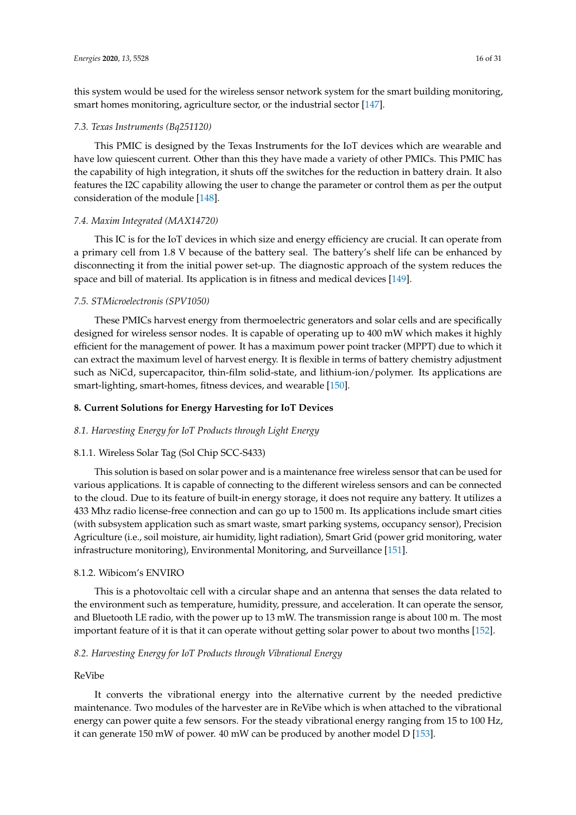this system would be used for the wireless sensor network system for the smart building monitoring, smart homes monitoring, agriculture sector, or the industrial sector [\[147\]](#page-28-10).

#### *7.3. Texas Instruments (Bq251120)*

This PMIC is designed by the Texas Instruments for the IoT devices which are wearable and have low quiescent current. Other than this they have made a variety of other PMICs. This PMIC has the capability of high integration, it shuts off the switches for the reduction in battery drain. It also features the I2C capability allowing the user to change the parameter or control them as per the output consideration of the module [\[148\]](#page-28-11).

## *7.4. Maxim Integrated (MAX14720)*

This IC is for the IoT devices in which size and energy efficiency are crucial. It can operate from a primary cell from 1.8 V because of the battery seal. The battery's shelf life can be enhanced by disconnecting it from the initial power set-up. The diagnostic approach of the system reduces the space and bill of material. Its application is in fitness and medical devices [\[149\]](#page-28-12).

# *7.5. STMicroelectronis (SPV1050)*

These PMICs harvest energy from thermoelectric generators and solar cells and are specifically designed for wireless sensor nodes. It is capable of operating up to 400 mW which makes it highly efficient for the management of power. It has a maximum power point tracker (MPPT) due to which it can extract the maximum level of harvest energy. It is flexible in terms of battery chemistry adjustment such as NiCd, supercapacitor, thin-film solid-state, and lithium-ion/polymer. Its applications are smart-lighting, smart-homes, fitness devices, and wearable [\[150\]](#page-28-13).

# <span id="page-15-0"></span>**8. Current Solutions for Energy Harvesting for IoT Devices**

## *8.1. Harvesting Energy for IoT Products through Light Energy*

# 8.1.1. Wireless Solar Tag (Sol Chip SCC-S433)

This solution is based on solar power and is a maintenance free wireless sensor that can be used for various applications. It is capable of connecting to the different wireless sensors and can be connected to the cloud. Due to its feature of built-in energy storage, it does not require any battery. It utilizes a 433 Mhz radio license-free connection and can go up to 1500 m. Its applications include smart cities (with subsystem application such as smart waste, smart parking systems, occupancy sensor), Precision Agriculture (i.e., soil moisture, air humidity, light radiation), Smart Grid (power grid monitoring, water infrastructure monitoring), Environmental Monitoring, and Surveillance [\[151\]](#page-28-14).

#### 8.1.2. Wibicom's ENVIRO

This is a photovoltaic cell with a circular shape and an antenna that senses the data related to the environment such as temperature, humidity, pressure, and acceleration. It can operate the sensor, and Bluetooth LE radio, with the power up to 13 mW. The transmission range is about 100 m. The most important feature of it is that it can operate without getting solar power to about two months [\[152\]](#page-28-15).

# *8.2. Harvesting Energy for IoT Products through Vibrational Energy*

#### ReVibe

It converts the vibrational energy into the alternative current by the needed predictive maintenance. Two modules of the harvester are in ReVibe which is when attached to the vibrational energy can power quite a few sensors. For the steady vibrational energy ranging from 15 to 100 Hz, it can generate 150 mW of power. 40 mW can be produced by another model D [\[153\]](#page-28-16).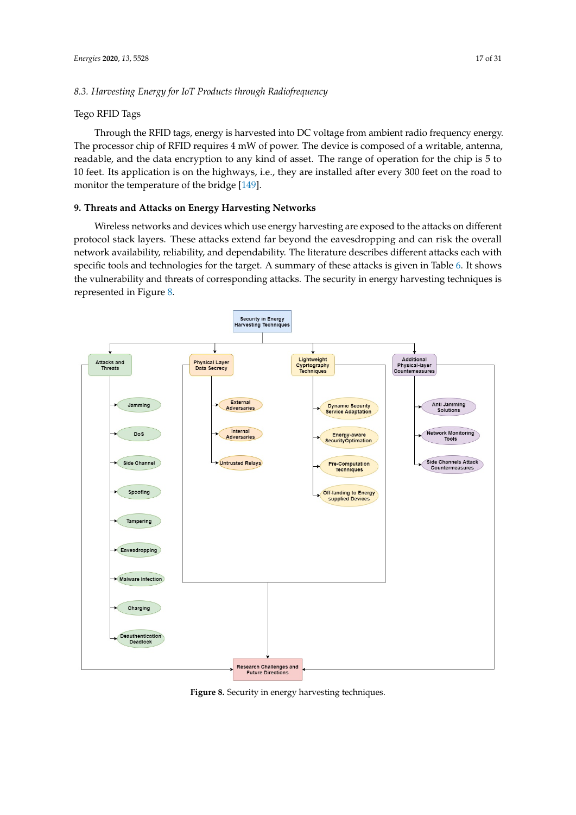# *8.3. Harvesting Energy for IoT Products through Radiofrequency*

#### Tego RFID Tags

Through the RFID tags, energy is harvested into DC voltage from ambient radio frequency energy. The processor chip of RFID requires 4 mW of power. The device is composed of a writable, antenna, readable, and the data encryption to any kind of asset. The range of operation for the chip is 5 to 10 feet. Its application is on the highways, i.e., they are installed after every 300 feet on the road to monitor the temperature of the bridge [\[149\]](#page-28-12).

# <span id="page-16-0"></span>**9. Threats and Attacks on Energy Harvesting Networks**

Wireless networks and devices which use energy harvesting are exposed to the attacks on different protocol stack layers. These attacks extend far beyond the eavesdropping and can risk the overall network availability, reliability, and dependability. The literature describes different attacks each with specific tools and technologies for the target. A summary of these attacks is given in Table [6.](#page-17-0) It shows the vulnerability and threats of corresponding attacks. The security in energy harvesting techniques is represented in Figure [8.](#page-16-1)

<span id="page-16-1"></span>

**Figure 8.** Security in energy harvesting techniques.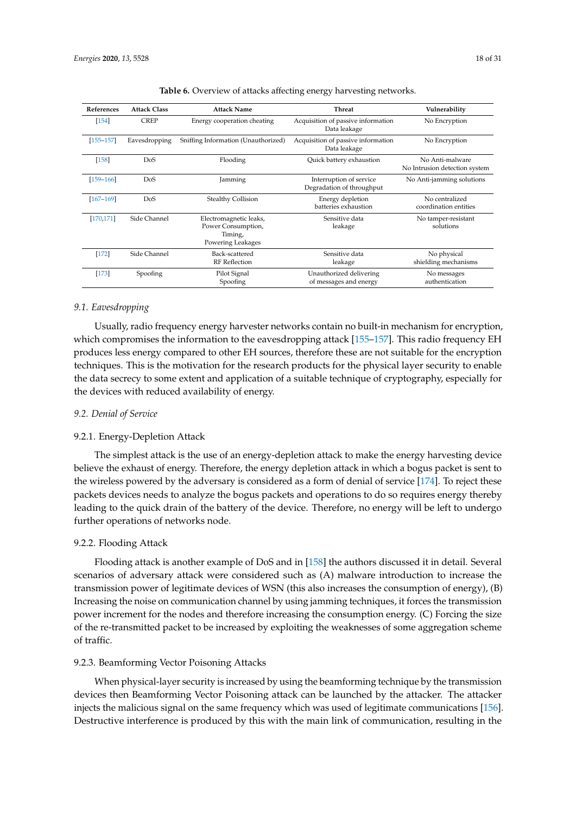<span id="page-17-0"></span>

| References    | <b>Attack Class</b> | <b>Attack Name</b>                                                           | Threat                                               | Vulnerability                                    |
|---------------|---------------------|------------------------------------------------------------------------------|------------------------------------------------------|--------------------------------------------------|
| $[154]$       | <b>CREP</b>         | Energy cooperation cheating                                                  | Acquisition of passive information<br>Data leakage   | No Encryption                                    |
| $[155 - 157]$ | Eavesdropping       | Sniffing Information (Unauthorized)                                          | Acquisition of passive information<br>Data leakage   | No Encryption                                    |
| $[158]$       | DoS                 | Flooding                                                                     | Quick battery exhaustion                             | No Anti-malware<br>No Intrusion detection system |
| $[159 - 166]$ | DoS                 | Jamming                                                                      | Interruption of service<br>Degradation of throughput | No Anti-jamming solutions                        |
| $[167 - 169]$ | DoS                 | Stealthy Collision                                                           | Energy depletion<br>batteries exhaustion             | No centralized<br>coordination entities          |
| [170, 171]    | Side Channel        | Electromagnetic leaks,<br>Power Consumption,<br>Timing,<br>Powering Leakages | Sensitive data<br>leakage                            | No tamper-resistant<br>solutions                 |
| $[172]$       | Side Channel        | Back-scattered<br><b>RF</b> Reflection                                       | Sensitive data<br>leakage                            | No physical<br>shielding mechanisms              |
| [173]         | Spoofing            | Pilot Signal<br>Spoofing                                                     | Unauthorized delivering<br>of messages and energy    | No messages<br>authentication                    |

#### **Table 6.** Overview of attacks affecting energy harvesting networks.

# *9.1. Eavesdropping*

Usually, radio frequency energy harvester networks contain no built-in mechanism for encryption, which compromises the information to the eavesdropping attack [\[155–](#page-28-18)[157\]](#page-28-19). This radio frequency EH produces less energy compared to other EH sources, therefore these are not suitable for the encryption techniques. This is the motivation for the research products for the physical layer security to enable the data secrecy to some extent and application of a suitable technique of cryptography, especially for the devices with reduced availability of energy.

## *9.2. Denial of Service*

#### 9.2.1. Energy-Depletion Attack

The simplest attack is the use of an energy-depletion attack to make the energy harvesting device believe the exhaust of energy. Therefore, the energy depletion attack in which a bogus packet is sent to the wireless powered by the adversary is considered as a form of denial of service [\[174\]](#page-29-8). To reject these packets devices needs to analyze the bogus packets and operations to do so requires energy thereby leading to the quick drain of the battery of the device. Therefore, no energy will be left to undergo further operations of networks node.

# 9.2.2. Flooding Attack

Flooding attack is another example of DoS and in [\[158\]](#page-28-20) the authors discussed it in detail. Several scenarios of adversary attack were considered such as (A) malware introduction to increase the transmission power of legitimate devices of WSN (this also increases the consumption of energy), (B) Increasing the noise on communication channel by using jamming techniques, it forces the transmission power increment for the nodes and therefore increasing the consumption energy. (C) Forcing the size of the re-transmitted packet to be increased by exploiting the weaknesses of some aggregation scheme of traffic.

# 9.2.3. Beamforming Vector Poisoning Attacks

When physical-layer security is increased by using the beamforming technique by the transmission devices then Beamforming Vector Poisoning attack can be launched by the attacker. The attacker injects the malicious signal on the same frequency which was used of legitimate communications [\[156\]](#page-28-21). Destructive interference is produced by this with the main link of communication, resulting in the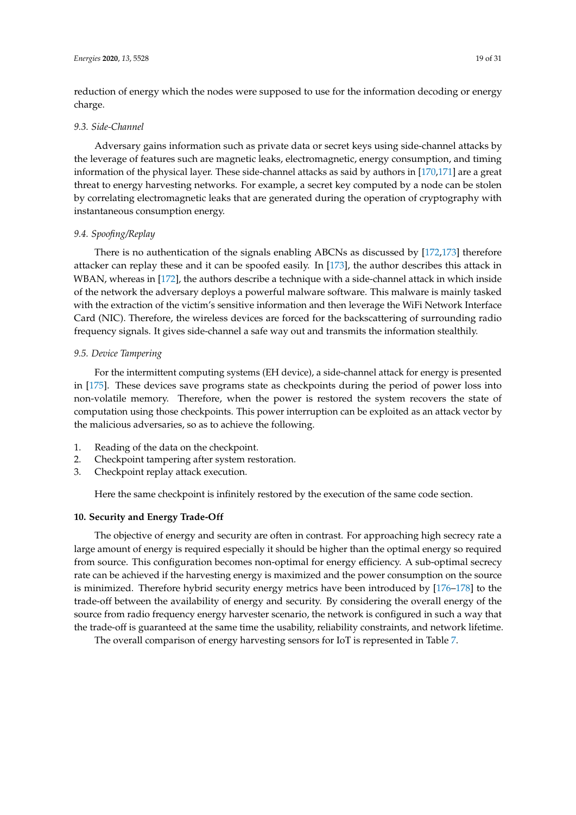reduction of energy which the nodes were supposed to use for the information decoding or energy charge.

#### *9.3. Side-Channel*

Adversary gains information such as private data or secret keys using side-channel attacks by the leverage of features such are magnetic leaks, electromagnetic, energy consumption, and timing information of the physical layer. These side-channel attacks as said by authors in [\[170,](#page-29-4)[171\]](#page-29-5) are a great threat to energy harvesting networks. For example, a secret key computed by a node can be stolen by correlating electromagnetic leaks that are generated during the operation of cryptography with instantaneous consumption energy.

# *9.4. Spoofing/Replay*

There is no authentication of the signals enabling ABCNs as discussed by [\[172](#page-29-6)[,173\]](#page-29-7) therefore attacker can replay these and it can be spoofed easily. In [\[173\]](#page-29-7), the author describes this attack in WBAN, whereas in [\[172\]](#page-29-6), the authors describe a technique with a side-channel attack in which inside of the network the adversary deploys a powerful malware software. This malware is mainly tasked with the extraction of the victim's sensitive information and then leverage the WiFi Network Interface Card (NIC). Therefore, the wireless devices are forced for the backscattering of surrounding radio frequency signals. It gives side-channel a safe way out and transmits the information stealthily.

# *9.5. Device Tampering*

For the intermittent computing systems (EH device), a side-channel attack for energy is presented in [\[175\]](#page-29-9). These devices save programs state as checkpoints during the period of power loss into non-volatile memory. Therefore, when the power is restored the system recovers the state of computation using those checkpoints. This power interruption can be exploited as an attack vector by the malicious adversaries, so as to achieve the following.

- 1. Reading of the data on the checkpoint.
- 2. Checkpoint tampering after system restoration.
- 3. Checkpoint replay attack execution.

Here the same checkpoint is infinitely restored by the execution of the same code section.

## <span id="page-18-0"></span>**10. Security and Energy Trade-Off**

The objective of energy and security are often in contrast. For approaching high secrecy rate a large amount of energy is required especially it should be higher than the optimal energy so required from source. This configuration becomes non-optimal for energy efficiency. A sub-optimal secrecy rate can be achieved if the harvesting energy is maximized and the power consumption on the source is minimized. Therefore hybrid security energy metrics have been introduced by [\[176](#page-29-10)[–178\]](#page-29-11) to the trade-off between the availability of energy and security. By considering the overall energy of the source from radio frequency energy harvester scenario, the network is configured in such a way that the trade-off is guaranteed at the same time the usability, reliability constraints, and network lifetime.

The overall comparison of energy harvesting sensors for IoT is represented in Table [7.](#page-19-0)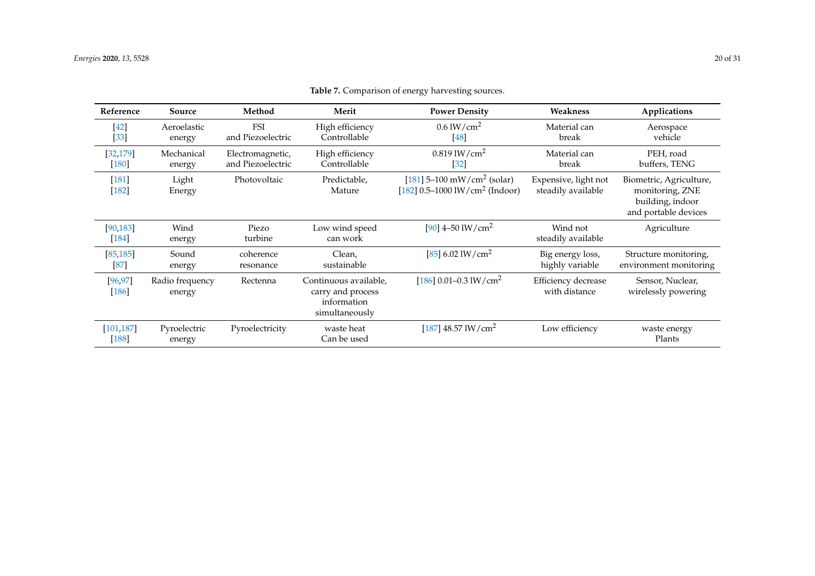<span id="page-19-0"></span>

| Reference             | Source                    | Method                                | Merit                                                                       | <b>Power Density</b>                                                                 | Weakness                                   | Applications                                                                           |
|-----------------------|---------------------------|---------------------------------------|-----------------------------------------------------------------------------|--------------------------------------------------------------------------------------|--------------------------------------------|----------------------------------------------------------------------------------------|
| [42]<br>$[33]$        | Aeroelastic<br>energy     | <b>FSI</b><br>and Piezoelectric       | High efficiency<br>Controllable                                             | $0.6 \text{ kW/cm}^2$<br>[48]                                                        | Material can<br>break                      | Aerospace<br>vehicle                                                                   |
| [32, 179]<br>$[180]$  | Mechanical<br>energy      | Electromagnetic,<br>and Piezoelectric | High efficiency<br>Controllable                                             | $0.819 \text{ lW/cm}^2$<br>$[32]$                                                    | Material can<br>break                      | PEH, road<br>buffers, TENG                                                             |
| $[181]$<br>$[182]$    | Light<br>Energy           | Photovoltaic                          | Predictable,<br>Mature                                                      | [181] 5–100 mW/cm <sup>2</sup> (solar)<br>[182] 0.5–1000 lW/cm <sup>2</sup> (Indoor) | Expensive, light not<br>steadily available | Biometric, Agriculture,<br>monitoring, ZNE<br>building, indoor<br>and portable devices |
| [90, 183]<br>$[184]$  | Wind<br>energy            | Piezo<br>turbine                      | Low wind speed<br>can work                                                  | [90] $4-50$ lW/cm <sup>2</sup>                                                       | Wind not<br>steadily available             | Agriculture                                                                            |
| [85, 185]<br>[87]     | Sound<br>energy           | coherence<br>resonance                | Clean,<br>sustainable                                                       | $[85]$ 6.02 lW/cm <sup>2</sup>                                                       | Big energy loss,<br>highly variable        | Structure monitoring,<br>environment monitoring                                        |
| [96, 97]<br>$[186]$   | Radio frequency<br>energy | Rectenna                              | Continuous available,<br>carry and process<br>information<br>simultaneously | [186] 0.01–0.3 lW/cm <sup>2</sup>                                                    | Efficiency decrease<br>with distance       | Sensor, Nuclear,<br>wirelessly powering                                                |
| [101, 187]<br>$[188]$ | Pyroelectric<br>energy    | Pyroelectricity                       | waste heat<br>Can be used                                                   | [187] 48.57 lW/cm <sup>2</sup>                                                       | Low efficiency                             | waste energy<br>Plants                                                                 |

| Table 7. Comparison of energy harvesting sources |  |  |
|--------------------------------------------------|--|--|
|--------------------------------------------------|--|--|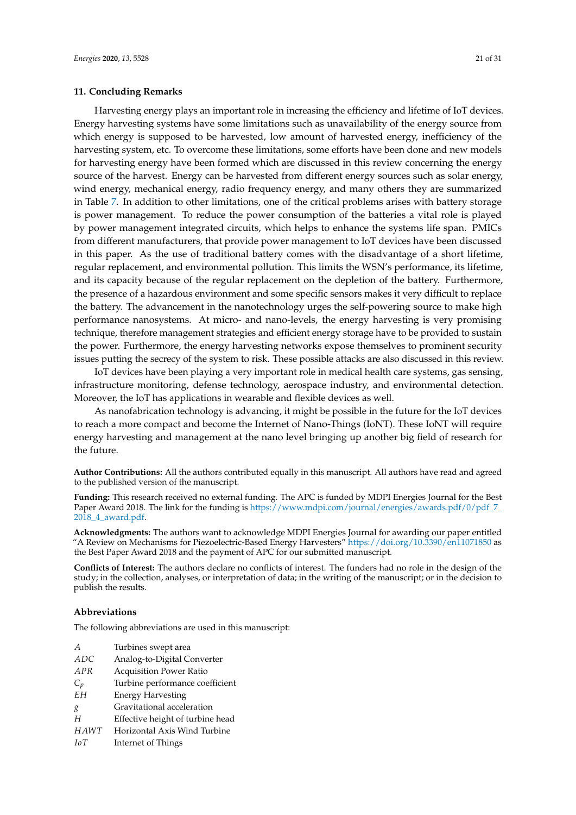# **11. Concluding Remarks**

Harvesting energy plays an important role in increasing the efficiency and lifetime of IoT devices. Energy harvesting systems have some limitations such as unavailability of the energy source from which energy is supposed to be harvested, low amount of harvested energy, inefficiency of the harvesting system, etc. To overcome these limitations, some efforts have been done and new models for harvesting energy have been formed which are discussed in this review concerning the energy source of the harvest. Energy can be harvested from different energy sources such as solar energy, wind energy, mechanical energy, radio frequency energy, and many others they are summarized in Table [7.](#page-19-0) In addition to other limitations, one of the critical problems arises with battery storage is power management. To reduce the power consumption of the batteries a vital role is played by power management integrated circuits, which helps to enhance the systems life span. PMICs from different manufacturers, that provide power management to IoT devices have been discussed in this paper. As the use of traditional battery comes with the disadvantage of a short lifetime, regular replacement, and environmental pollution. This limits the WSN's performance, its lifetime, and its capacity because of the regular replacement on the depletion of the battery. Furthermore, the presence of a hazardous environment and some specific sensors makes it very difficult to replace the battery. The advancement in the nanotechnology urges the self-powering source to make high performance nanosystems. At micro- and nano-levels, the energy harvesting is very promising technique, therefore management strategies and efficient energy storage have to be provided to sustain the power. Furthermore, the energy harvesting networks expose themselves to prominent security issues putting the secrecy of the system to risk. These possible attacks are also discussed in this review.

IoT devices have been playing a very important role in medical health care systems, gas sensing, infrastructure monitoring, defense technology, aerospace industry, and environmental detection. Moreover, the IoT has applications in wearable and flexible devices as well.

As nanofabrication technology is advancing, it might be possible in the future for the IoT devices to reach a more compact and become the Internet of Nano-Things (IoNT). These IoNT will require energy harvesting and management at the nano level bringing up another big field of research for the future.

**Author Contributions:** All the authors contributed equally in this manuscript. All authors have read and agreed to the published version of the manuscript.

**Funding:** This research received no external funding. The APC is funded by MDPI Energies Journal for the Best Paper Award 2018. The link for the funding is [https://www.mdpi.com/journal/energies/awards.pdf/0/pdf\\_7\\_](https://www.mdpi.com/journal/energies/awards.pdf/0/pdf_7_2018_4_award.pdf) [2018\\_4\\_award.pdf.](https://www.mdpi.com/journal/energies/awards.pdf/0/pdf_7_2018_4_award.pdf)

**Acknowledgments:** The authors want to acknowledge MDPI Energies Journal for awarding our paper entitled "A Review on Mechanisms for Piezoelectric-Based Energy Harvesters" <https://doi.org/10.3390/en11071850> as the Best Paper Award 2018 and the payment of APC for our submitted manuscript.

**Conflicts of Interest:** The authors declare no conflicts of interest. The funders had no role in the design of the study; in the collection, analyses, or interpretation of data; in the writing of the manuscript; or in the decision to publish the results.

## **Abbreviations**

The following abbreviations are used in this manuscript:

- *A* Turbines swept area
- *ADC* Analog-to-Digital Converter
- *APR* Acquisition Power Ratio
- *Cp* Turbine performance coefficient
- *EH* Energy Harvesting
- *g* Gravitational acceleration
- *H* Effective height of turbine head
- *HAWT* Horizontal Axis Wind Turbine
- *IoT* Internet of Things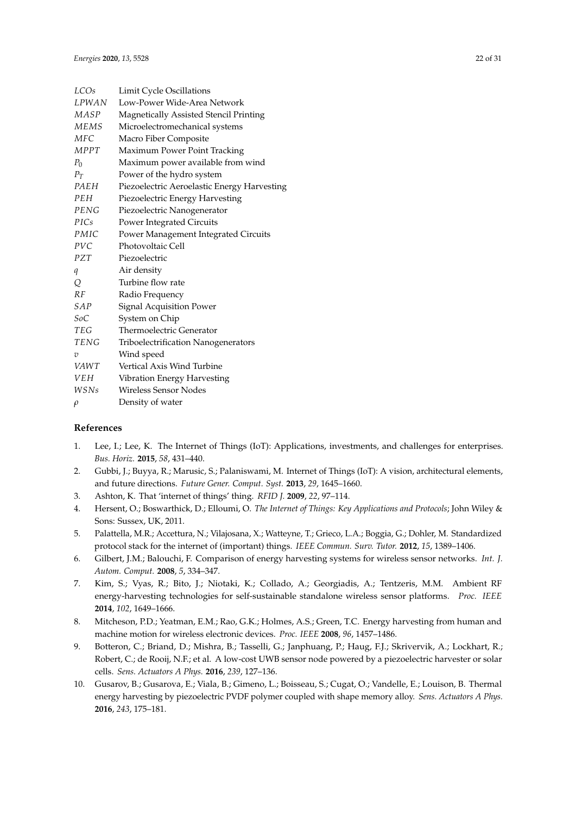| <b>LCOs</b>           | Limit Cycle Oscillations                    |
|-----------------------|---------------------------------------------|
| <b>LPWAN</b>          | Low-Power Wide-Area Network                 |
| MASP                  | Magnetically Assisted Stencil Printing      |
| <b>MEMS</b>           | Microelectromechanical systems              |
| <b>MFC</b>            | Macro Fiber Composite                       |
| <b>MPPT</b>           | Maximum Power Point Tracking                |
| $P_0$                 | Maximum power available from wind           |
| $P_T$                 | Power of the hydro system                   |
| PAEH                  | Piezoelectric Aeroelastic Energy Harvesting |
| PEH                   | Piezoelectric Energy Harvesting             |
| PENG                  | Piezoelectric Nanogenerator                 |
| PICs                  | Power Integrated Circuits                   |
| <b>PMIC</b>           | Power Management Integrated Circuits        |
| <b>PVC</b>            | Photovoltaic Cell                           |
| PZT                   | Piezoelectric                               |
| q                     | Air density                                 |
| Q                     | Turbine flow rate                           |
| RF                    | Radio Frequency                             |
| SAP                   | <b>Signal Acquisition Power</b>             |
| SoC                   | System on Chip                              |
| <b>TEG</b>            | Thermoelectric Generator                    |
| <b>TENG</b>           | Triboelectrification Nanogenerators         |
| $\overline{\upsilon}$ | Wind speed                                  |
| VAWT                  | Vertical Axis Wind Turbine                  |
| VEH                   | Vibration Energy Harvesting                 |
| <b>WSNs</b>           | Wireless Sensor Nodes                       |
| $\rho$                | Density of water                            |

# **References**

- <span id="page-21-0"></span>1. Lee, I.; Lee, K. The Internet of Things (IoT): Applications, investments, and challenges for enterprises. *Bus. Horiz.* **2015**, *58*, 431–440.
- <span id="page-21-1"></span>2. Gubbi, J.; Buyya, R.; Marusic, S.; Palaniswami, M. Internet of Things (IoT): A vision, architectural elements, and future directions. *Future Gener. Comput. Syst.* **2013**, *29*, 1645–1660.
- <span id="page-21-2"></span>3. Ashton, K. That 'internet of things' thing. *RFID J.* **2009**, *22*, 97–114.
- <span id="page-21-3"></span>4. Hersent, O.; Boswarthick, D.; Elloumi, O. *The Internet of Things: Key Applications and Protocols*; John Wiley & Sons: Sussex, UK, 2011.
- <span id="page-21-4"></span>5. Palattella, M.R.; Accettura, N.; Vilajosana, X.; Watteyne, T.; Grieco, L.A.; Boggia, G.; Dohler, M. Standardized protocol stack for the internet of (important) things. *IEEE Commun. Surv. Tutor.* **2012**, *15*, 1389–1406.
- <span id="page-21-5"></span>6. Gilbert, J.M.; Balouchi, F. Comparison of energy harvesting systems for wireless sensor networks. *Int. J. Autom. Comput.* **2008**, *5*, 334–347.
- <span id="page-21-6"></span>7. Kim, S.; Vyas, R.; Bito, J.; Niotaki, K.; Collado, A.; Georgiadis, A.; Tentzeris, M.M. Ambient RF energy-harvesting technologies for self-sustainable standalone wireless sensor platforms. *Proc. IEEE* **2014**, *102*, 1649–1666.
- <span id="page-21-7"></span>8. Mitcheson, P.D.; Yeatman, E.M.; Rao, G.K.; Holmes, A.S.; Green, T.C. Energy harvesting from human and machine motion for wireless electronic devices. *Proc. IEEE* **2008**, *96*, 1457–1486.
- <span id="page-21-8"></span>9. Botteron, C.; Briand, D.; Mishra, B.; Tasselli, G.; Janphuang, P.; Haug, F.J.; Skrivervik, A.; Lockhart, R.; Robert, C.; de Rooij, N.F.; et al. A low-cost UWB sensor node powered by a piezoelectric harvester or solar cells. *Sens. Actuators A Phys.* **2016**, *239*, 127–136.
- <span id="page-21-9"></span>10. Gusarov, B.; Gusarova, E.; Viala, B.; Gimeno, L.; Boisseau, S.; Cugat, O.; Vandelle, E.; Louison, B. Thermal energy harvesting by piezoelectric PVDF polymer coupled with shape memory alloy. *Sens. Actuators A Phys.* **2016**, *243*, 175–181.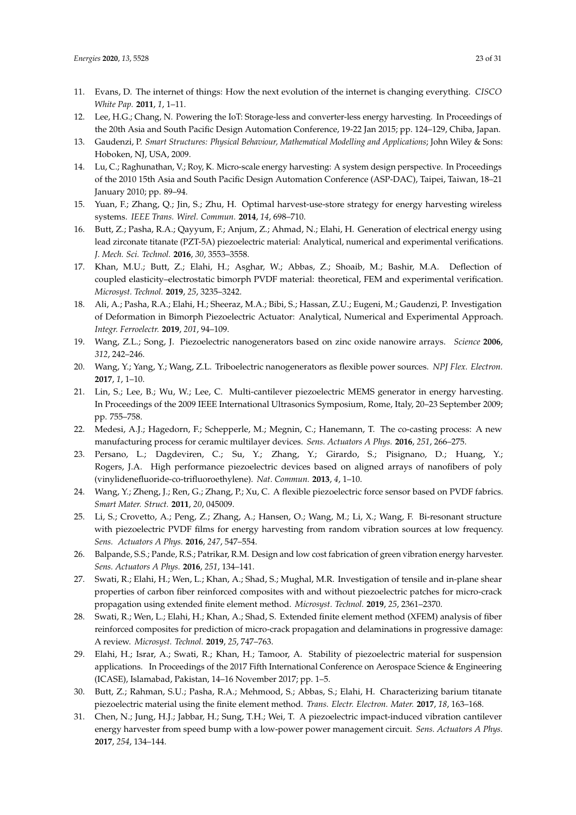- <span id="page-22-0"></span>11. Evans, D. The internet of things: How the next evolution of the internet is changing everything. *CISCO White Pap.* **2011**, *1*, 1–11.
- <span id="page-22-1"></span>12. Lee, H.G.; Chang, N. Powering the IoT: Storage-less and converter-less energy harvesting. In Proceedings of the 20th Asia and South Pacific Design Automation Conference, 19-22 Jan 2015; pp. 124–129, Chiba, Japan.
- <span id="page-22-2"></span>13. Gaudenzi, P. *Smart Structures: Physical Behaviour, Mathematical Modelling and Applications*; John Wiley & Sons: Hoboken, NJ, USA, 2009.
- <span id="page-22-3"></span>14. Lu, C.; Raghunathan, V.; Roy, K. Micro-scale energy harvesting: A system design perspective. In Proceedings of the 2010 15th Asia and South Pacific Design Automation Conference (ASP-DAC), Taipei, Taiwan, 18–21 January 2010; pp. 89–94.
- <span id="page-22-4"></span>15. Yuan, F.; Zhang, Q.; Jin, S.; Zhu, H. Optimal harvest-use-store strategy for energy harvesting wireless systems. *IEEE Trans. Wirel. Commun.* **2014**, *14*, 698–710.
- <span id="page-22-5"></span>16. Butt, Z.; Pasha, R.A.; Qayyum, F.; Anjum, Z.; Ahmad, N.; Elahi, H. Generation of electrical energy using lead zirconate titanate (PZT-5A) piezoelectric material: Analytical, numerical and experimental verifications. *J. Mech. Sci. Technol.* **2016**, *30*, 3553–3558.
- 17. Khan, M.U.; Butt, Z.; Elahi, H.; Asghar, W.; Abbas, Z.; Shoaib, M.; Bashir, M.A. Deflection of coupled elasticity–electrostatic bimorph PVDF material: theoretical, FEM and experimental verification. *Microsyst. Technol.* **2019**, *25*, 3235–3242.
- <span id="page-22-6"></span>18. Ali, A.; Pasha, R.A.; Elahi, H.; Sheeraz, M.A.; Bibi, S.; Hassan, Z.U.; Eugeni, M.; Gaudenzi, P. Investigation of Deformation in Bimorph Piezoelectric Actuator: Analytical, Numerical and Experimental Approach. *Integr. Ferroelectr.* **2019**, *201*, 94–109.
- <span id="page-22-7"></span>19. Wang, Z.L.; Song, J. Piezoelectric nanogenerators based on zinc oxide nanowire arrays. *Science* **2006**, *312*, 242–246.
- <span id="page-22-8"></span>20. Wang, Y.; Yang, Y.; Wang, Z.L. Triboelectric nanogenerators as flexible power sources. *NPJ Flex. Electron.* **2017**, *1*, 1–10.
- <span id="page-22-9"></span>21. Lin, S.; Lee, B.; Wu, W.; Lee, C. Multi-cantilever piezoelectric MEMS generator in energy harvesting. In Proceedings of the 2009 IEEE International Ultrasonics Symposium, Rome, Italy, 20–23 September 2009; pp. 755–758.
- <span id="page-22-10"></span>22. Medesi, A.J.; Hagedorn, F.; Schepperle, M.; Megnin, C.; Hanemann, T. The co-casting process: A new manufacturing process for ceramic multilayer devices. *Sens. Actuators A Phys.* **2016**, *251*, 266–275.
- <span id="page-22-11"></span>23. Persano, L.; Dagdeviren, C.; Su, Y.; Zhang, Y.; Girardo, S.; Pisignano, D.; Huang, Y.; Rogers, J.A. High performance piezoelectric devices based on aligned arrays of nanofibers of poly (vinylidenefluoride-co-trifluoroethylene). *Nat. Commun.* **2013**, *4*, 1–10.
- <span id="page-22-12"></span>24. Wang, Y.; Zheng, J.; Ren, G.; Zhang, P.; Xu, C. A flexible piezoelectric force sensor based on PVDF fabrics. *Smart Mater. Struct.* **2011**, *20*, 045009.
- <span id="page-22-13"></span>25. Li, S.; Crovetto, A.; Peng, Z.; Zhang, A.; Hansen, O.; Wang, M.; Li, X.; Wang, F. Bi-resonant structure with piezoelectric PVDF films for energy harvesting from random vibration sources at low frequency. *Sens. Actuators A Phys.* **2016**, *247*, 547–554.
- <span id="page-22-14"></span>26. Balpande, S.S.; Pande, R.S.; Patrikar, R.M. Design and low cost fabrication of green vibration energy harvester. *Sens. Actuators A Phys.* **2016**, *251*, 134–141.
- <span id="page-22-15"></span>27. Swati, R.; Elahi, H.; Wen, L.; Khan, A.; Shad, S.; Mughal, M.R. Investigation of tensile and in-plane shear properties of carbon fiber reinforced composites with and without piezoelectric patches for micro-crack propagation using extended finite element method. *Microsyst. Technol.* **2019**, *25*, 2361–2370.
- 28. Swati, R.; Wen, L.; Elahi, H.; Khan, A.; Shad, S. Extended finite element method (XFEM) analysis of fiber reinforced composites for prediction of micro-crack propagation and delaminations in progressive damage: A review. *Microsyst. Technol.* **2019**, *25*, 747–763.
- 29. Elahi, H.; Israr, A.; Swati, R.; Khan, H.; Tamoor, A. Stability of piezoelectric material for suspension applications. In Proceedings of the 2017 Fifth International Conference on Aerospace Science & Engineering (ICASE), Islamabad, Pakistan, 14–16 November 2017; pp. 1–5.
- <span id="page-22-16"></span>30. Butt, Z.; Rahman, S.U.; Pasha, R.A.; Mehmood, S.; Abbas, S.; Elahi, H. Characterizing barium titanate piezoelectric material using the finite element method. *Trans. Electr. Electron. Mater.* **2017**, *18*, 163–168.
- <span id="page-22-17"></span>31. Chen, N.; Jung, H.J.; Jabbar, H.; Sung, T.H.; Wei, T. A piezoelectric impact-induced vibration cantilever energy harvester from speed bump with a low-power power management circuit. *Sens. Actuators A Phys.* **2017**, *254*, 134–144.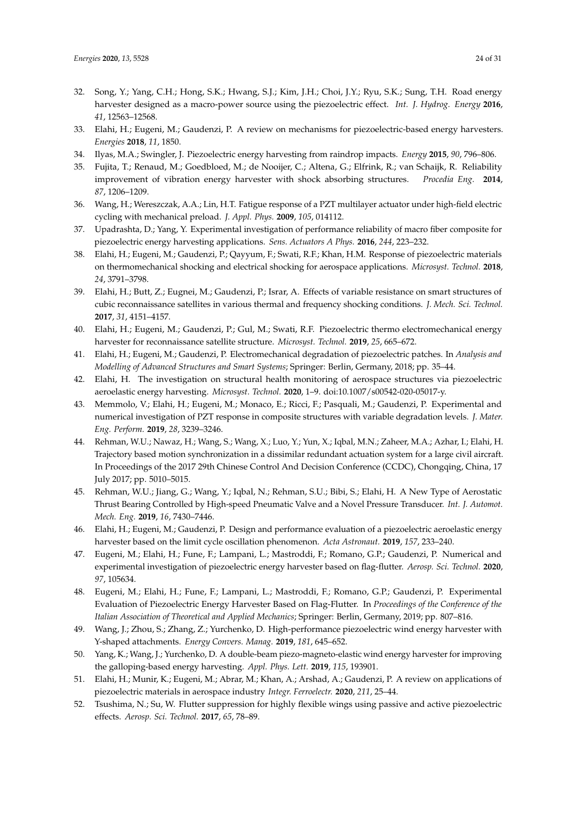- <span id="page-23-21"></span><span id="page-23-20"></span><span id="page-23-0"></span>32. Song, Y.; Yang, C.H.; Hong, S.K.; Hwang, S.J.; Kim, J.H.; Choi, J.Y.; Ryu, S.K.; Sung, T.H. Road energy harvester designed as a macro-power source using the piezoelectric effect. *Int. J. Hydrog. Energy* **2016**, *41*, 12563–12568.
- <span id="page-23-19"></span><span id="page-23-1"></span>33. Elahi, H.; Eugeni, M.; Gaudenzi, P. A review on mechanisms for piezoelectric-based energy harvesters. *Energies* **2018**, *11*, 1850.
- <span id="page-23-2"></span>34. Ilyas, M.A.; Swingler, J. Piezoelectric energy harvesting from raindrop impacts. *Energy* **2015**, *90*, 796–806.
- <span id="page-23-3"></span>35. Fujita, T.; Renaud, M.; Goedbloed, M.; de Nooijer, C.; Altena, G.; Elfrink, R.; van Schaijk, R. Reliability improvement of vibration energy harvester with shock absorbing structures. *Procedia Eng.* **2014**, *87*, 1206–1209.
- <span id="page-23-4"></span>36. Wang, H.; Wereszczak, A.A.; Lin, H.T. Fatigue response of a PZT multilayer actuator under high-field electric cycling with mechanical preload. *J. Appl. Phys.* **2009**, *105*, 014112.
- <span id="page-23-5"></span>37. Upadrashta, D.; Yang, Y. Experimental investigation of performance reliability of macro fiber composite for piezoelectric energy harvesting applications. *Sens. Actuators A Phys.* **2016**, *244*, 223–232.
- <span id="page-23-6"></span>38. Elahi, H.; Eugeni, M.; Gaudenzi, P.; Qayyum, F.; Swati, R.F.; Khan, H.M. Response of piezoelectric materials on thermomechanical shocking and electrical shocking for aerospace applications. *Microsyst. Technol.* **2018**, *24*, 3791–3798.
- 39. Elahi, H.; Butt, Z.; Eugnei, M.; Gaudenzi, P.; Israr, A. Effects of variable resistance on smart structures of cubic reconnaissance satellites in various thermal and frequency shocking conditions. *J. Mech. Sci. Technol.* **2017**, *31*, 4151–4157.
- 40. Elahi, H.; Eugeni, M.; Gaudenzi, P.; Gul, M.; Swati, R.F. Piezoelectric thermo electromechanical energy harvester for reconnaissance satellite structure. *Microsyst. Technol.* **2019**, *25*, 665–672.
- <span id="page-23-7"></span>41. Elahi, H.; Eugeni, M.; Gaudenzi, P. Electromechanical degradation of piezoelectric patches. In *Analysis and Modelling of Advanced Structures and Smart Systems*; Springer: Berlin, Germany, 2018; pp. 35–44.
- <span id="page-23-8"></span>42. Elahi, H. The investigation on structural health monitoring of aerospace structures via piezoelectric aeroelastic energy harvesting. *Microsyst. Technol.* **2020**, 1–9. doi:10.1007/s00542-020-05017-y.
- <span id="page-23-9"></span>43. Memmolo, V.; Elahi, H.; Eugeni, M.; Monaco, E.; Ricci, F.; Pasquali, M.; Gaudenzi, P. Experimental and numerical investigation of PZT response in composite structures with variable degradation levels. *J. Mater. Eng. Perform.* **2019**, *28*, 3239–3246.
- <span id="page-23-10"></span>44. Rehman, W.U.; Nawaz, H.; Wang, S.; Wang, X.; Luo, Y.; Yun, X.; Iqbal, M.N.; Zaheer, M.A.; Azhar, I.; Elahi, H. Trajectory based motion synchronization in a dissimilar redundant actuation system for a large civil aircraft. In Proceedings of the 2017 29th Chinese Control And Decision Conference (CCDC), Chongqing, China, 17 July 2017; pp. 5010–5015.
- <span id="page-23-11"></span>45. Rehman, W.U.; Jiang, G.; Wang, Y.; Iqbal, N.; Rehman, S.U.; Bibi, S.; Elahi, H. A New Type of Aerostatic Thrust Bearing Controlled by High-speed Pneumatic Valve and a Novel Pressure Transducer. *Int. J. Automot. Mech. Eng.* **2019**, *16*, 7430–7446.
- <span id="page-23-12"></span>46. Elahi, H.; Eugeni, M.; Gaudenzi, P. Design and performance evaluation of a piezoelectric aeroelastic energy harvester based on the limit cycle oscillation phenomenon. *Acta Astronaut.* **2019**, *157*, 233–240.
- <span id="page-23-13"></span>47. Eugeni, M.; Elahi, H.; Fune, F.; Lampani, L.; Mastroddi, F.; Romano, G.P.; Gaudenzi, P. Numerical and experimental investigation of piezoelectric energy harvester based on flag-flutter. *Aerosp. Sci. Technol.* **2020**, *97*, 105634.
- <span id="page-23-14"></span>48. Eugeni, M.; Elahi, H.; Fune, F.; Lampani, L.; Mastroddi, F.; Romano, G.P.; Gaudenzi, P. Experimental Evaluation of Piezoelectric Energy Harvester Based on Flag-Flutter. In *Proceedings of the Conference of the Italian Association of Theoretical and Applied Mechanics*; Springer: Berlin, Germany, 2019; pp. 807–816.
- <span id="page-23-15"></span>49. Wang, J.; Zhou, S.; Zhang, Z.; Yurchenko, D. High-performance piezoelectric wind energy harvester with Y-shaped attachments. *Energy Convers. Manag.* **2019**, *181*, 645–652.
- <span id="page-23-16"></span>50. Yang, K.; Wang, J.; Yurchenko, D. A double-beam piezo-magneto-elastic wind energy harvester for improving the galloping-based energy harvesting. *Appl. Phys. Lett.* **2019**, *115*, 193901.
- <span id="page-23-17"></span>51. Elahi, H.; Munir, K.; Eugeni, M.; Abrar, M.; Khan, A.; Arshad, A.; Gaudenzi, P. A review on applications of piezoelectric materials in aerospace industry *Integr. Ferroelectr.* **2020**, *211*, 25–44.
- <span id="page-23-18"></span>52. Tsushima, N.; Su, W. Flutter suppression for highly flexible wings using passive and active piezoelectric effects. *Aerosp. Sci. Technol.* **2017**, *65*, 78–89.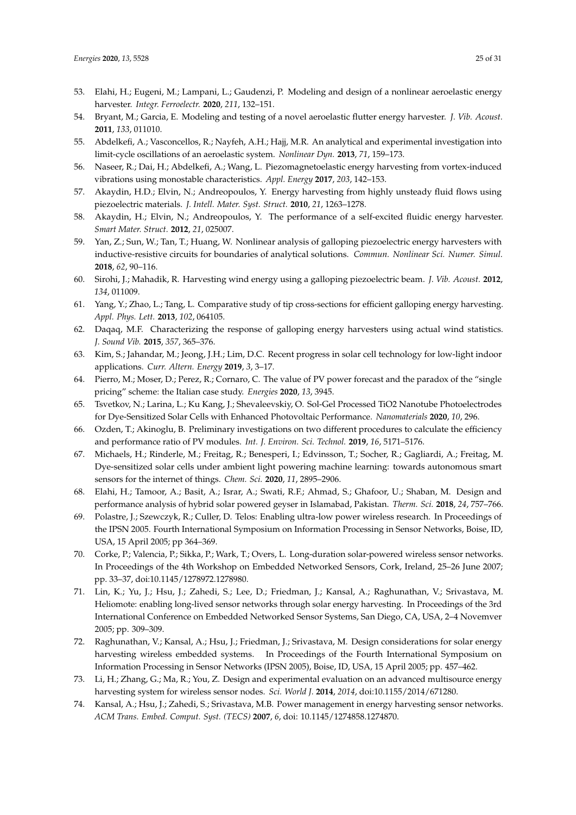- <span id="page-24-0"></span>53. Elahi, H.; Eugeni, M.; Lampani, L.; Gaudenzi, P. Modeling and design of a nonlinear aeroelastic energy harvester. *Integr. Ferroelectr.* **2020**, *211*, 132–151.
- <span id="page-24-1"></span>54. Bryant, M.; Garcia, E. Modeling and testing of a novel aeroelastic flutter energy harvester. *J. Vib. Acoust.* **2011**, *133*, 011010.
- <span id="page-24-2"></span>55. Abdelkefi, A.; Vasconcellos, R.; Nayfeh, A.H.; Hajj, M.R. An analytical and experimental investigation into limit-cycle oscillations of an aeroelastic system. *Nonlinear Dyn.* **2013**, *71*, 159–173.
- <span id="page-24-3"></span>56. Naseer, R.; Dai, H.; Abdelkefi, A.; Wang, L. Piezomagnetoelastic energy harvesting from vortex-induced vibrations using monostable characteristics. *Appl. Energy* **2017**, *203*, 142–153.
- <span id="page-24-4"></span>57. Akaydin, H.D.; Elvin, N.; Andreopoulos, Y. Energy harvesting from highly unsteady fluid flows using piezoelectric materials. *J. Intell. Mater. Syst. Struct.* **2010**, *21*, 1263–1278.
- <span id="page-24-5"></span>58. Akaydin, H.; Elvin, N.; Andreopoulos, Y. The performance of a self-excited fluidic energy harvester. *Smart Mater. Struct.* **2012**, *21*, 025007.
- <span id="page-24-6"></span>59. Yan, Z.; Sun, W.; Tan, T.; Huang, W. Nonlinear analysis of galloping piezoelectric energy harvesters with inductive-resistive circuits for boundaries of analytical solutions. *Commun. Nonlinear Sci. Numer. Simul.* **2018**, *62*, 90–116.
- <span id="page-24-7"></span>60. Sirohi, J.; Mahadik, R. Harvesting wind energy using a galloping piezoelectric beam. *J. Vib. Acoust.* **2012**, *134*, 011009.
- <span id="page-24-8"></span>61. Yang, Y.; Zhao, L.; Tang, L. Comparative study of tip cross-sections for efficient galloping energy harvesting. *Appl. Phys. Lett.* **2013**, *102*, 064105.
- <span id="page-24-9"></span>62. Daqaq, M.F. Characterizing the response of galloping energy harvesters using actual wind statistics. *J. Sound Vib.* **2015**, *357*, 365–376.
- <span id="page-24-10"></span>63. Kim, S.; Jahandar, M.; Jeong, J.H.; Lim, D.C. Recent progress in solar cell technology for low-light indoor applications. *Curr. Altern. Energy* **2019**, *3*, 3–17.
- <span id="page-24-11"></span>64. Pierro, M.; Moser, D.; Perez, R.; Cornaro, C. The value of PV power forecast and the paradox of the "single pricing" scheme: the Italian case study. *Energies* **2020**, *13*, 3945.
- <span id="page-24-12"></span>65. Tsvetkov, N.; Larina, L.; Ku Kang, J.; Shevaleevskiy, O. Sol-Gel Processed TiO2 Nanotube Photoelectrodes for Dye-Sensitized Solar Cells with Enhanced Photovoltaic Performance. *Nanomaterials* **2020**, *10*, 296.
- <span id="page-24-13"></span>66. Ozden, T.; Akinoglu, B. Preliminary investigations on two different procedures to calculate the efficiency and performance ratio of PV modules. *Int. J. Environ. Sci. Technol.* **2019**, *16*, 5171–5176.
- <span id="page-24-14"></span>67. Michaels, H.; Rinderle, M.; Freitag, R.; Benesperi, I.; Edvinsson, T.; Socher, R.; Gagliardi, A.; Freitag, M. Dye-sensitized solar cells under ambient light powering machine learning: towards autonomous smart sensors for the internet of things. *Chem. Sci.* **2020**, *11*, 2895–2906.
- <span id="page-24-15"></span>68. Elahi, H.; Tamoor, A.; Basit, A.; Israr, A.; Swati, R.F.; Ahmad, S.; Ghafoor, U.; Shaban, M. Design and performance analysis of hybrid solar powered geyser in Islamabad, Pakistan. *Therm. Sci.* **2018**, *24*, 757–766.
- <span id="page-24-16"></span>69. Polastre, J.; Szewczyk, R.; Culler, D. Telos: Enabling ultra-low power wireless research. In Proceedings of the IPSN 2005. Fourth International Symposium on Information Processing in Sensor Networks, Boise, ID, USA, 15 April 2005; pp 364–369.
- <span id="page-24-17"></span>70. Corke, P.; Valencia, P.; Sikka, P.; Wark, T.; Overs, L. Long-duration solar-powered wireless sensor networks. In Proceedings of the 4th Workshop on Embedded Networked Sensors, Cork, Ireland, 25–26 June 2007; pp. 33–37, doi:10.1145/1278972.1278980.
- <span id="page-24-18"></span>71. Lin, K.; Yu, J.; Hsu, J.; Zahedi, S.; Lee, D.; Friedman, J.; Kansal, A.; Raghunathan, V.; Srivastava, M. Heliomote: enabling long-lived sensor networks through solar energy harvesting. In Proceedings of the 3rd International Conference on Embedded Networked Sensor Systems, San Diego, CA, USA, 2–4 Novemver 2005; pp. 309–309.
- 72. Raghunathan, V.; Kansal, A.; Hsu, J.; Friedman, J.; Srivastava, M. Design considerations for solar energy harvesting wireless embedded systems. In Proceedings of the Fourth International Symposium on Information Processing in Sensor Networks (IPSN 2005), Boise, ID, USA, 15 April 2005; pp. 457–462.
- <span id="page-24-19"></span>73. Li, H.; Zhang, G.; Ma, R.; You, Z. Design and experimental evaluation on an advanced multisource energy harvesting system for wireless sensor nodes. *Sci. World J.* **2014**, *2014*, doi:10.1155/2014/671280.
- <span id="page-24-20"></span>74. Kansal, A.; Hsu, J.; Zahedi, S.; Srivastava, M.B. Power management in energy harvesting sensor networks. *ACM Trans. Embed. Comput. Syst. (TECS)* **2007**, *6*, doi: 10.1145/1274858.1274870.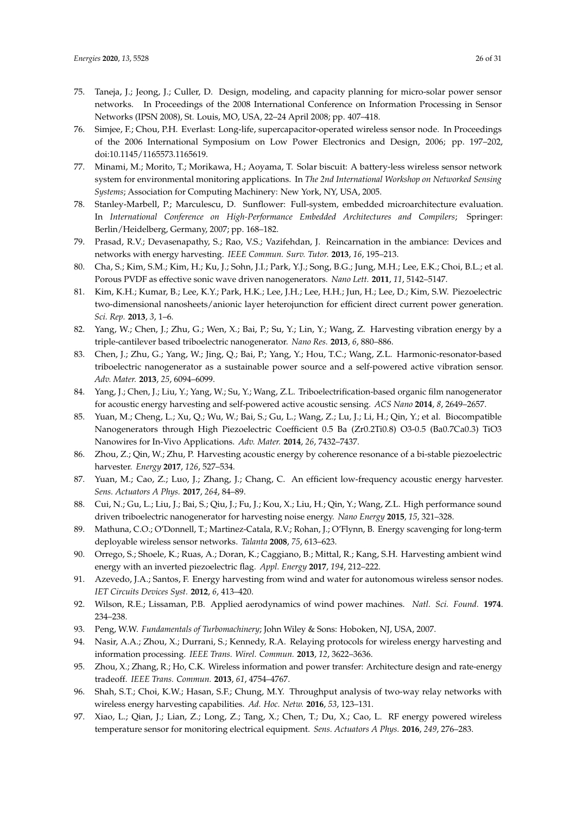- <span id="page-25-0"></span>75. Taneja, J.; Jeong, J.; Culler, D. Design, modeling, and capacity planning for micro-solar power sensor networks. In Proceedings of the 2008 International Conference on Information Processing in Sensor Networks (IPSN 2008), St. Louis, MO, USA, 22–24 April 2008; pp. 407–418.
- <span id="page-25-1"></span>76. Simjee, F.; Chou, P.H. Everlast: Long-life, supercapacitor-operated wireless sensor node. In Proceedings of the 2006 International Symposium on Low Power Electronics and Design, 2006; pp. 197–202, doi:10.1145/1165573.1165619.
- <span id="page-25-24"></span><span id="page-25-2"></span>77. Minami, M.; Morito, T.; Morikawa, H.; Aoyama, T. Solar biscuit: A battery-less wireless sensor network system for environmental monitoring applications. In *The 2nd International Workshop on Networked Sensing Systems*; Association for Computing Machinery: New York, NY, USA, 2005.
- <span id="page-25-3"></span>78. Stanley-Marbell, P.; Marculescu, D. Sunflower: Full-system, embedded microarchitecture evaluation. In *International Conference on High-Performance Embedded Architectures and Compilers*; Springer: Berlin/Heidelberg, Germany, 2007; pp. 168–182.
- <span id="page-25-25"></span><span id="page-25-4"></span>79. Prasad, R.V.; Devasenapathy, S.; Rao, V.S.; Vazifehdan, J. Reincarnation in the ambiance: Devices and networks with energy harvesting. *IEEE Commun. Surv. Tutor.* **2013**, *16*, 195–213.
- <span id="page-25-5"></span>80. Cha, S.; Kim, S.M.; Kim, H.; Ku, J.; Sohn, J.I.; Park, Y.J.; Song, B.G.; Jung, M.H.; Lee, E.K.; Choi, B.L.; et al. Porous PVDF as effective sonic wave driven nanogenerators. *Nano Lett.* **2011**, *11*, 5142–5147.
- <span id="page-25-6"></span>81. Kim, K.H.; Kumar, B.; Lee, K.Y.; Park, H.K.; Lee, J.H.; Lee, H.H.; Jun, H.; Lee, D.; Kim, S.W. Piezoelectric two-dimensional nanosheets/anionic layer heterojunction for efficient direct current power generation. *Sci. Rep.* **2013**, *3*, 1–6.
- <span id="page-25-23"></span><span id="page-25-7"></span>82. Yang, W.; Chen, J.; Zhu, G.; Wen, X.; Bai, P.; Su, Y.; Lin, Y.; Wang, Z. Harvesting vibration energy by a triple-cantilever based triboelectric nanogenerator. *Nano Res.* **2013**, *6*, 880–886.
- <span id="page-25-8"></span>83. Chen, J.; Zhu, G.; Yang, W.; Jing, Q.; Bai, P.; Yang, Y.; Hou, T.C.; Wang, Z.L. Harmonic-resonator-based triboelectric nanogenerator as a sustainable power source and a self-powered active vibration sensor. *Adv. Mater.* **2013**, *25*, 6094–6099.
- <span id="page-25-9"></span>84. Yang, J.; Chen, J.; Liu, Y.; Yang, W.; Su, Y.; Wang, Z.L. Triboelectrification-based organic film nanogenerator for acoustic energy harvesting and self-powered active acoustic sensing. *ACS Nano* **2014**, *8*, 2649–2657.
- <span id="page-25-10"></span>85. Yuan, M.; Cheng, L.; Xu, Q.; Wu, W.; Bai, S.; Gu, L.; Wang, Z.; Lu, J.; Li, H.; Qin, Y.; et al. Biocompatible Nanogenerators through High Piezoelectric Coefficient 0.5 Ba (Zr0.2Ti0.8) O3-0.5 (Ba0.7Ca0.3) TiO3 Nanowires for In-Vivo Applications. *Adv. Mater.* **2014**, *26*, 7432–7437.
- <span id="page-25-11"></span>86. Zhou, Z.; Qin, W.; Zhu, P. Harvesting acoustic energy by coherence resonance of a bi-stable piezoelectric harvester. *Energy* **2017**, *126*, 527–534.
- <span id="page-25-12"></span>87. Yuan, M.; Cao, Z.; Luo, J.; Zhang, J.; Chang, C. An efficient low-frequency acoustic energy harvester. *Sens. Actuators A Phys.* **2017**, *264*, 84–89.
- <span id="page-25-13"></span>88. Cui, N.; Gu, L.; Liu, J.; Bai, S.; Qiu, J.; Fu, J.; Kou, X.; Liu, H.; Qin, Y.; Wang, Z.L. High performance sound driven triboelectric nanogenerator for harvesting noise energy. *Nano Energy* **2015**, *15*, 321–328.
- <span id="page-25-14"></span>89. Mathuna, C.O.; O'Donnell, T.; Martinez-Catala, R.V.; Rohan, J.; O'Flynn, B. Energy scavenging for long-term deployable wireless sensor networks. *Talanta* **2008**, *75*, 613–623.
- <span id="page-25-15"></span>90. Orrego, S.; Shoele, K.; Ruas, A.; Doran, K.; Caggiano, B.; Mittal, R.; Kang, S.H. Harvesting ambient wind energy with an inverted piezoelectric flag. *Appl. Energy* **2017**, *194*, 212–222.
- <span id="page-25-16"></span>91. Azevedo, J.A.; Santos, F. Energy harvesting from wind and water for autonomous wireless sensor nodes. *IET Circuits Devices Syst.* **2012**, *6*, 413–420.
- <span id="page-25-17"></span>92. Wilson, R.E.; Lissaman, P.B. Applied aerodynamics of wind power machines. *Natl. Sci. Found.* **1974**. 234–238.
- <span id="page-25-18"></span>93. Peng, W.W. *Fundamentals of Turbomachinery*; John Wiley & Sons: Hoboken, NJ, USA, 2007.
- <span id="page-25-19"></span>94. Nasir, A.A.; Zhou, X.; Durrani, S.; Kennedy, R.A. Relaying protocols for wireless energy harvesting and information processing. *IEEE Trans. Wirel. Commun.* **2013**, *12*, 3622–3636.
- <span id="page-25-20"></span>95. Zhou, X.; Zhang, R.; Ho, C.K. Wireless information and power transfer: Architecture design and rate-energy tradeoff. *IEEE Trans. Commun.* **2013**, *61*, 4754–4767.
- <span id="page-25-21"></span>96. Shah, S.T.; Choi, K.W.; Hasan, S.F.; Chung, M.Y. Throughput analysis of two-way relay networks with wireless energy harvesting capabilities. *Ad. Hoc. Netw.* **2016**, *53*, 123–131.
- <span id="page-25-22"></span>97. Xiao, L.; Qian, J.; Lian, Z.; Long, Z.; Tang, X.; Chen, T.; Du, X.; Cao, L. RF energy powered wireless temperature sensor for monitoring electrical equipment. *Sens. Actuators A Phys.* **2016**, *249*, 276–283.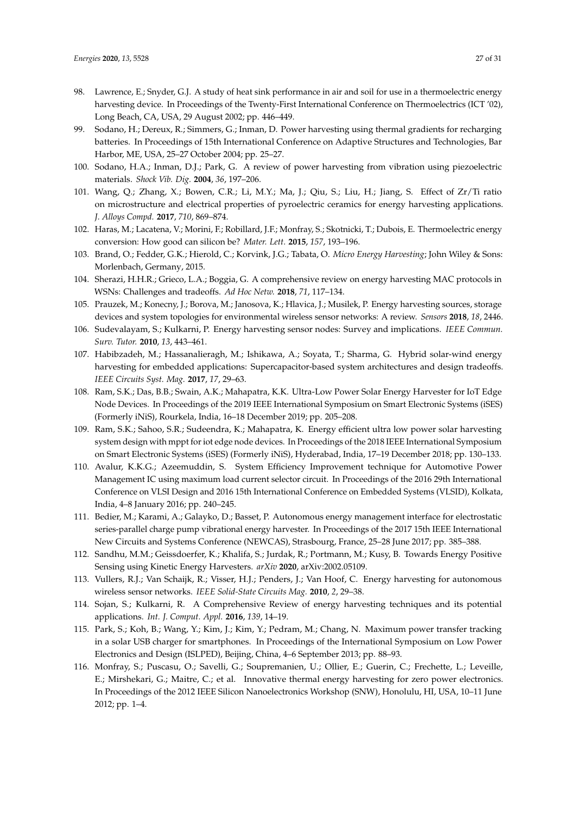- <span id="page-26-18"></span><span id="page-26-0"></span>98. Lawrence, E.; Snyder, G.J. A study of heat sink performance in air and soil for use in a thermoelectric energy harvesting device. In Proceedings of the Twenty-First International Conference on Thermoelectrics (ICT '02), Long Beach, CA, USA, 29 August 2002; pp. 446–449.
- 99. Sodano, H.; Dereux, R.; Simmers, G.; Inman, D. Power harvesting using thermal gradients for recharging batteries. In Proceedings of 15th International Conference on Adaptive Structures and Technologies, Bar Harbor, ME, USA, 25–27 October 2004; pp. 25–27.
- <span id="page-26-1"></span>100. Sodano, H.A.; Inman, D.J.; Park, G. A review of power harvesting from vibration using piezoelectric materials. *Shock Vib. Dig.* **2004**, *36*, 197–206.
- <span id="page-26-2"></span>101. Wang, Q.; Zhang, X.; Bowen, C.R.; Li, M.Y.; Ma, J.; Qiu, S.; Liu, H.; Jiang, S. Effect of Zr/Ti ratio on microstructure and electrical properties of pyroelectric ceramics for energy harvesting applications. *J. Alloys Compd.* **2017**, *710*, 869–874.
- <span id="page-26-3"></span>102. Haras, M.; Lacatena, V.; Morini, F.; Robillard, J.F.; Monfray, S.; Skotnicki, T.; Dubois, E. Thermoelectric energy conversion: How good can silicon be? *Mater. Lett.* **2015**, *157*, 193–196.
- <span id="page-26-4"></span>103. Brand, O.; Fedder, G.K.; Hierold, C.; Korvink, J.G.; Tabata, O. *Micro Energy Harvesting*; John Wiley & Sons: Morlenbach, Germany, 2015.
- <span id="page-26-5"></span>104. Sherazi, H.H.R.; Grieco, L.A.; Boggia, G. A comprehensive review on energy harvesting MAC protocols in WSNs: Challenges and tradeoffs. *Ad Hoc Netw.* **2018**, *71*, 117–134.
- <span id="page-26-6"></span>105. Prauzek, M.; Konecny, J.; Borova, M.; Janosova, K.; Hlavica, J.; Musilek, P. Energy harvesting sources, storage devices and system topologies for environmental wireless sensor networks: A review. *Sensors* **2018**, *18*, 2446.
- <span id="page-26-7"></span>106. Sudevalayam, S.; Kulkarni, P. Energy harvesting sensor nodes: Survey and implications. *IEEE Commun. Surv. Tutor.* **2010**, *13*, 443–461.
- <span id="page-26-8"></span>107. Habibzadeh, M.; Hassanalieragh, M.; Ishikawa, A.; Soyata, T.; Sharma, G. Hybrid solar-wind energy harvesting for embedded applications: Supercapacitor-based system architectures and design tradeoffs. *IEEE Circuits Syst. Mag.* **2017**, *17*, 29–63.
- <span id="page-26-9"></span>108. Ram, S.K.; Das, B.B.; Swain, A.K.; Mahapatra, K.K. Ultra-Low Power Solar Energy Harvester for IoT Edge Node Devices. In Proceedings of the 2019 IEEE International Symposium on Smart Electronic Systems (iSES) (Formerly iNiS), Rourkela, India, 16–18 December 2019; pp. 205–208.
- <span id="page-26-10"></span>109. Ram, S.K.; Sahoo, S.R.; Sudeendra, K.; Mahapatra, K. Energy efficient ultra low power solar harvesting system design with mppt for iot edge node devices. In Proceedings of the 2018 IEEE International Symposium on Smart Electronic Systems (iSES) (Formerly iNiS), Hyderabad, India, 17–19 December 2018; pp. 130–133.
- <span id="page-26-11"></span>110. Avalur, K.K.G.; Azeemuddin, S. System Efficiency Improvement technique for Automotive Power Management IC using maximum load current selector circuit. In Proceedings of the 2016 29th International Conference on VLSI Design and 2016 15th International Conference on Embedded Systems (VLSID), Kolkata, India, 4–8 January 2016; pp. 240–245.
- <span id="page-26-12"></span>111. Bedier, M.; Karami, A.; Galayko, D.; Basset, P. Autonomous energy management interface for electrostatic series-parallel charge pump vibrational energy harvester. In Proceedings of the 2017 15th IEEE International New Circuits and Systems Conference (NEWCAS), Strasbourg, France, 25–28 June 2017; pp. 385–388.
- <span id="page-26-13"></span>112. Sandhu, M.M.; Geissdoerfer, K.; Khalifa, S.; Jurdak, R.; Portmann, M.; Kusy, B. Towards Energy Positive Sensing using Kinetic Energy Harvesters. *arXiv* **2020**, arXiv:2002.05109.
- <span id="page-26-14"></span>113. Vullers, R.J.; Van Schaijk, R.; Visser, H.J.; Penders, J.; Van Hoof, C. Energy harvesting for autonomous wireless sensor networks. *IEEE Solid-State Circuits Mag.* **2010**, *2*, 29–38.
- <span id="page-26-15"></span>114. Sojan, S.; Kulkarni, R. A Comprehensive Review of energy harvesting techniques and its potential applications. *Int. J. Comput. Appl.* **2016**, *139*, 14–19.
- <span id="page-26-16"></span>115. Park, S.; Koh, B.; Wang, Y.; Kim, J.; Kim, Y.; Pedram, M.; Chang, N. Maximum power transfer tracking in a solar USB charger for smartphones. In Proceedings of the International Symposium on Low Power Electronics and Design (ISLPED), Beijing, China, 4–6 September 2013; pp. 88–93.
- <span id="page-26-17"></span>116. Monfray, S.; Puscasu, O.; Savelli, G.; Soupremanien, U.; Ollier, E.; Guerin, C.; Frechette, L.; Leveille, E.; Mirshekari, G.; Maitre, C.; et al. Innovative thermal energy harvesting for zero power electronics. In Proceedings of the 2012 IEEE Silicon Nanoelectronics Workshop (SNW), Honolulu, HI, USA, 10–11 June 2012; pp. 1–4.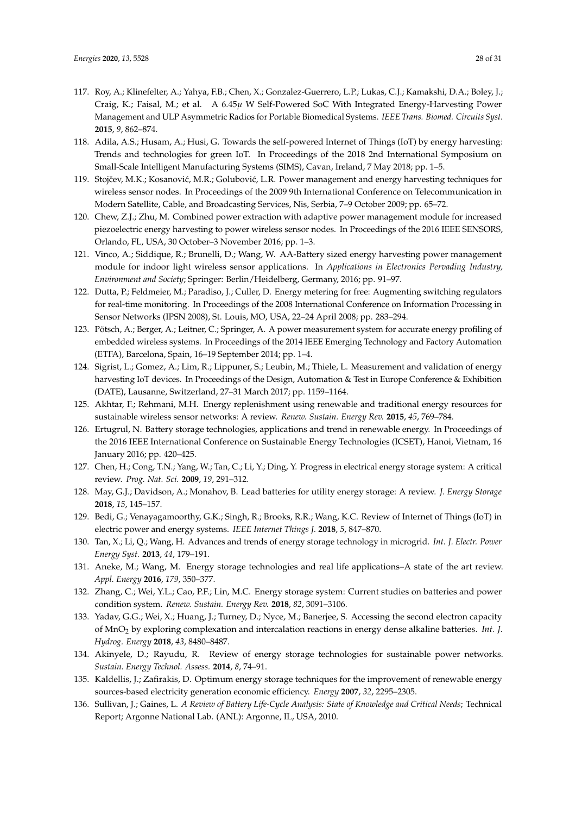- <span id="page-27-0"></span>117. Roy, A.; Klinefelter, A.; Yahya, F.B.; Chen, X.; Gonzalez-Guerrero, L.P.; Lukas, C.J.; Kamakshi, D.A.; Boley, J.; Craig, K.; Faisal, M.; et al. A 6.45*µ* W Self-Powered SoC With Integrated Energy-Harvesting Power Management and ULP Asymmetric Radios for Portable Biomedical Systems. *IEEE Trans. Biomed. Circuits Syst.* **2015**, *9*, 862–874.
- <span id="page-27-1"></span>118. Adila, A.S.; Husam, A.; Husi, G. Towards the self-powered Internet of Things (IoT) by energy harvesting: Trends and technologies for green IoT. In Proceedings of the 2018 2nd International Symposium on Small-Scale Intelligent Manufacturing Systems (SIMS), Cavan, Ireland, 7 May 2018; pp. 1–5.
- 119. Stojčev, M.K.; Kosanović, M.R.; Golubović, L.R. Power management and energy harvesting techniques for wireless sensor nodes. In Proceedings of the 2009 9th International Conference on Telecommunication in Modern Satellite, Cable, and Broadcasting Services, Nis, Serbia, 7–9 October 2009; pp. 65–72.
- 120. Chew, Z.J.; Zhu, M. Combined power extraction with adaptive power management module for increased piezoelectric energy harvesting to power wireless sensor nodes. In Proceedings of the 2016 IEEE SENSORS, Orlando, FL, USA, 30 October–3 November 2016; pp. 1–3.
- <span id="page-27-2"></span>121. Vinco, A.; Siddique, R.; Brunelli, D.; Wang, W. AA-Battery sized energy harvesting power management module for indoor light wireless sensor applications. In *Applications in Electronics Pervading Industry, Environment and Society*; Springer: Berlin/Heidelberg, Germany, 2016; pp. 91–97.
- <span id="page-27-3"></span>122. Dutta, P.; Feldmeier, M.; Paradiso, J.; Culler, D. Energy metering for free: Augmenting switching regulators for real-time monitoring. In Proceedings of the 2008 International Conference on Information Processing in Sensor Networks (IPSN 2008), St. Louis, MO, USA, 22–24 April 2008; pp. 283–294.
- <span id="page-27-4"></span>123. Pötsch, A.; Berger, A.; Leitner, C.; Springer, A. A power measurement system for accurate energy profiling of embedded wireless systems. In Proceedings of the 2014 IEEE Emerging Technology and Factory Automation (ETFA), Barcelona, Spain, 16–19 September 2014; pp. 1–4.
- <span id="page-27-5"></span>124. Sigrist, L.; Gomez, A.; Lim, R.; Lippuner, S.; Leubin, M.; Thiele, L. Measurement and validation of energy harvesting IoT devices. In Proceedings of the Design, Automation & Test in Europe Conference & Exhibition (DATE), Lausanne, Switzerland, 27–31 March 2017; pp. 1159–1164.
- <span id="page-27-6"></span>125. Akhtar, F.; Rehmani, M.H. Energy replenishment using renewable and traditional energy resources for sustainable wireless sensor networks: A review. *Renew. Sustain. Energy Rev.* **2015**, *45*, 769–784.
- <span id="page-27-7"></span>126. Ertugrul, N. Battery storage technologies, applications and trend in renewable energy. In Proceedings of the 2016 IEEE International Conference on Sustainable Energy Technologies (ICSET), Hanoi, Vietnam, 16 January 2016; pp. 420–425.
- <span id="page-27-8"></span>127. Chen, H.; Cong, T.N.; Yang, W.; Tan, C.; Li, Y.; Ding, Y. Progress in electrical energy storage system: A critical review. *Prog. Nat. Sci.* **2009**, *19*, 291–312.
- 128. May, G.J.; Davidson, A.; Monahov, B. Lead batteries for utility energy storage: A review. *J. Energy Storage* **2018**, *15*, 145–157.
- <span id="page-27-9"></span>129. Bedi, G.; Venayagamoorthy, G.K.; Singh, R.; Brooks, R.R.; Wang, K.C. Review of Internet of Things (IoT) in electric power and energy systems. *IEEE Internet Things J.* **2018**, *5*, 847–870.
- <span id="page-27-10"></span>130. Tan, X.; Li, Q.; Wang, H. Advances and trends of energy storage technology in microgrid. *Int. J. Electr. Power Energy Syst.* **2013**, *44*, 179–191.
- <span id="page-27-11"></span>131. Aneke, M.; Wang, M. Energy storage technologies and real life applications–A state of the art review. *Appl. Energy* **2016**, *179*, 350–377.
- 132. Zhang, C.; Wei, Y.L.; Cao, P.F.; Lin, M.C. Energy storage system: Current studies on batteries and power condition system. *Renew. Sustain. Energy Rev.* **2018**, *82*, 3091–3106.
- 133. Yadav, G.G.; Wei, X.; Huang, J.; Turney, D.; Nyce, M.; Banerjee, S. Accessing the second electron capacity of MnO<sup>2</sup> by exploring complexation and intercalation reactions in energy dense alkaline batteries. *Int. J. Hydrog. Energy* **2018**, *43*, 8480–8487.
- 134. Akinyele, D.; Rayudu, R. Review of energy storage technologies for sustainable power networks. *Sustain. Energy Technol. Assess.* **2014**, *8*, 74–91.
- <span id="page-27-12"></span>135. Kaldellis, J.; Zafirakis, D. Optimum energy storage techniques for the improvement of renewable energy sources-based electricity generation economic efficiency. *Energy* **2007**, *32*, 2295–2305.
- <span id="page-27-13"></span>136. Sullivan, J.; Gaines, L. *A Review of Battery Life-Cycle Analysis: State of Knowledge and Critical Needs*; Technical Report; Argonne National Lab. (ANL): Argonne, IL, USA, 2010.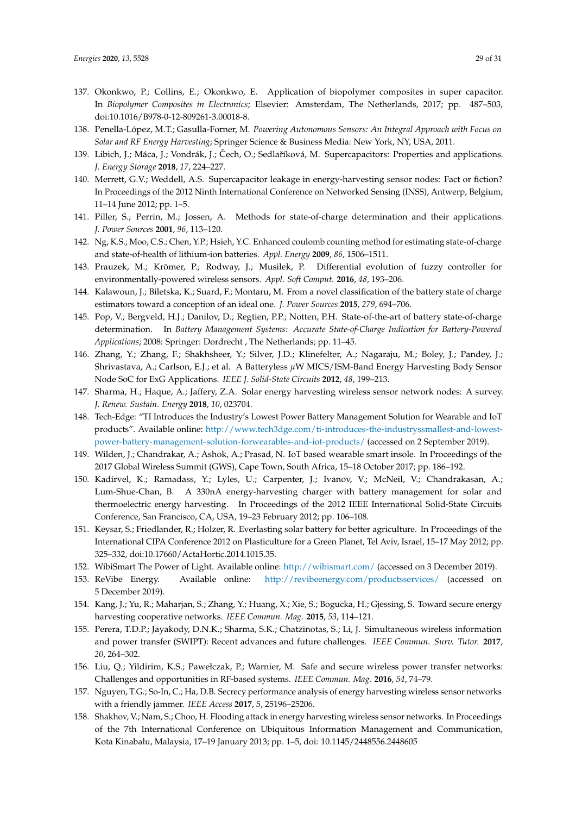- <span id="page-28-0"></span>137. Okonkwo, P.; Collins, E.; Okonkwo, E. Application of biopolymer composites in super capacitor. In *Biopolymer Composites in Electronics*; Elsevier: Amsterdam, The Netherlands, 2017; pp. 487–503, doi:10.1016/B978-0-12-809261-3.00018-8.
- <span id="page-28-1"></span>138. Penella-López, M.T.; Gasulla-Forner, M. *Powering Autonomous Sensors: An Integral Approach with Focus on Solar and RF Energy Harvesting*; Springer Science & Business Media: New York, NY, USA, 2011.
- <span id="page-28-2"></span>139. Libich, J.; Máca, J.; Vondrák, J.; Čech, O.; Sedlaříková, M. Supercapacitors: Properties and applications. *J. Energy Storage* **2018**, *17*, 224–227.
- <span id="page-28-3"></span>140. Merrett, G.V.; Weddell, A.S. Supercapacitor leakage in energy-harvesting sensor nodes: Fact or fiction? In Proceedings of the 2012 Ninth International Conference on Networked Sensing (INSS), Antwerp, Belgium, 11–14 June 2012; pp. 1–5.
- <span id="page-28-4"></span>141. Piller, S.; Perrin, M.; Jossen, A. Methods for state-of-charge determination and their applications. *J. Power Sources* **2001**, *96*, 113–120.
- <span id="page-28-5"></span>142. Ng, K.S.; Moo, C.S.; Chen, Y.P.; Hsieh, Y.C. Enhanced coulomb counting method for estimating state-of-charge and state-of-health of lithium-ion batteries. *Appl. Energy* **2009**, *86*, 1506–1511.
- <span id="page-28-6"></span>143. Prauzek, M.; Krömer, P.; Rodway, J.; Musilek, P. Differential evolution of fuzzy controller for environmentally-powered wireless sensors. *Appl. Soft Comput.* **2016**, *48*, 193–206.
- <span id="page-28-7"></span>144. Kalawoun, J.; Biletska, K.; Suard, F.; Montaru, M. From a novel classification of the battery state of charge estimators toward a conception of an ideal one. *J. Power Sources* **2015**, *279*, 694–706.
- <span id="page-28-8"></span>145. Pop, V.; Bergveld, H.J.; Danilov, D.; Regtien, P.P.; Notten, P.H. State-of-the-art of battery state-of-charge determination. In *Battery Management Systems: Accurate State-of-Charge Indication for Battery-Powered Applications*; 2008: Springer: Dordrecht , The Netherlands; pp. 11–45.
- <span id="page-28-9"></span>146. Zhang, Y.; Zhang, F.; Shakhsheer, Y.; Silver, J.D.; Klinefelter, A.; Nagaraju, M.; Boley, J.; Pandey, J.; Shrivastava, A.; Carlson, E.J.; et al. A Batteryless *µ*W MICS/ISM-Band Energy Harvesting Body Sensor Node SoC for ExG Applications. *IEEE J. Solid-State Circuits* **2012**, *48*, 199–213.
- <span id="page-28-10"></span>147. Sharma, H.; Haque, A.; Jaffery, Z.A. Solar energy harvesting wireless sensor network nodes: A survey. *J. Renew. Sustain. Energy* **2018**, *10*, 023704.
- <span id="page-28-11"></span>148. Tech-Edge: "TI Introduces the Industry's Lowest Power Battery Management Solution for Wearable and IoT products". Available online: [http://www.tech3dge.com/ti-introduces-the-industryssmallest-and-lowest](http://www.tech3dge.com/ti-introduces-the-industryssmallest-and-lowest-power-battery-management-solution-forwearables-and-iot-products/)[power-battery-management-solution-forwearables-and-iot-products/](http://www.tech3dge.com/ti-introduces-the-industryssmallest-and-lowest-power-battery-management-solution-forwearables-and-iot-products/) (accessed on 2 September 2019).
- <span id="page-28-12"></span>149. Wilden, J.; Chandrakar, A.; Ashok, A.; Prasad, N. IoT based wearable smart insole. In Proceedings of the 2017 Global Wireless Summit (GWS), Cape Town, South Africa, 15–18 October 2017; pp. 186–192.
- <span id="page-28-13"></span>150. Kadirvel, K.; Ramadass, Y.; Lyles, U.; Carpenter, J.; Ivanov, V.; McNeil, V.; Chandrakasan, A.; Lum-Shue-Chan, B. A 330nA energy-harvesting charger with battery management for solar and thermoelectric energy harvesting. In Proceedings of the 2012 IEEE International Solid-State Circuits Conference, San Francisco, CA, USA, 19–23 February 2012; pp. 106–108.
- <span id="page-28-14"></span>151. Keysar, S.; Friedlander, R.; Holzer, R. Everlasting solar battery for better agriculture. In Proceedings of the International CIPA Conference 2012 on Plasticulture for a Green Planet, Tel Aviv, Israel, 15–17 May 2012; pp. 325–332, doi:10.17660/ActaHortic.2014.1015.35.
- <span id="page-28-15"></span>152. WibiSmart The Power of Light. Available online: <http://wibismart.com/> (accessed on 3 December 2019).
- <span id="page-28-16"></span>153. ReVibe Energy. Available online: <http://revibeenergy.com/productsservices/> (accessed on 5 December 2019).
- <span id="page-28-17"></span>154. Kang, J.; Yu, R.; Maharjan, S.; Zhang, Y.; Huang, X.; Xie, S.; Bogucka, H.; Gjessing, S. Toward secure energy harvesting cooperative networks. *IEEE Commun. Mag.* **2015**, *53*, 114–121.
- <span id="page-28-18"></span>155. Perera, T.D.P.; Jayakody, D.N.K.; Sharma, S.K.; Chatzinotas, S.; Li, J. Simultaneous wireless information and power transfer (SWIPT): Recent advances and future challenges. *IEEE Commun. Surv. Tutor.* **2017**, *20*, 264–302.
- <span id="page-28-21"></span>156. Liu, Q.; Yildirim, K.S.; Pawełczak, P.; Warnier, M. Safe and secure wireless power transfer networks: Challenges and opportunities in RF-based systems. *IEEE Commun. Mag.* **2016**, *54*, 74–79.
- <span id="page-28-19"></span>157. Nguyen, T.G.; So-In, C.; Ha, D.B. Secrecy performance analysis of energy harvesting wireless sensor networks with a friendly jammer. *IEEE Access* **2017**, *5*, 25196–25206.
- <span id="page-28-20"></span>158. Shakhov, V.; Nam, S.; Choo, H. Flooding attack in energy harvesting wireless sensor networks. In Proceedings of the 7th International Conference on Ubiquitous Information Management and Communication, Kota Kinabalu, Malaysia, 17–19 January 2013; pp. 1–5, doi: 10.1145/2448556.2448605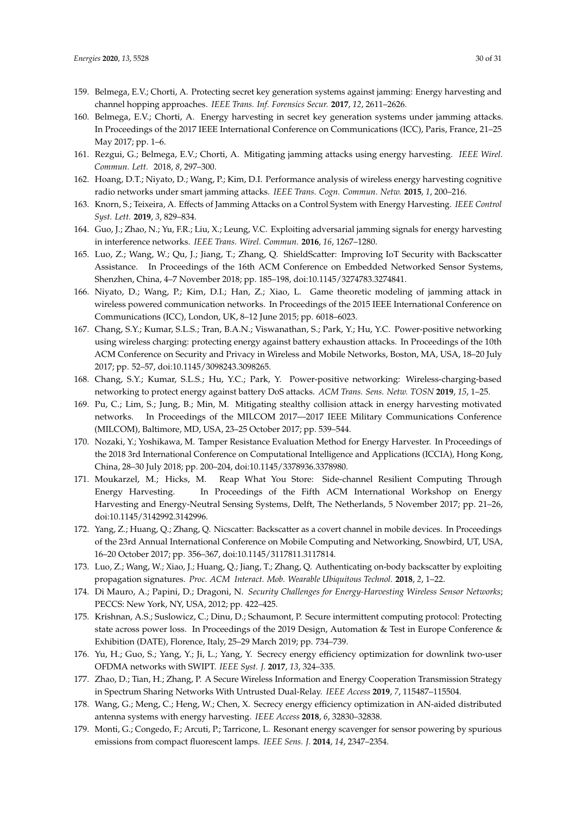- <span id="page-29-0"></span>159. Belmega, E.V.; Chorti, A. Protecting secret key generation systems against jamming: Energy harvesting and channel hopping approaches. *IEEE Trans. Inf. Forensics Secur.* **2017**, *12*, 2611–2626.
- 160. Belmega, E.V.; Chorti, A. Energy harvesting in secret key generation systems under jamming attacks. In Proceedings of the 2017 IEEE International Conference on Communications (ICC), Paris, France, 21–25 May 2017; pp. 1–6.
- 161. Rezgui, G.; Belmega, E.V.; Chorti, A. Mitigating jamming attacks using energy harvesting. *IEEE Wirel. Commun. Lett.* 2018, *8*, 297–300.
- 162. Hoang, D.T.; Niyato, D.; Wang, P.; Kim, D.I. Performance analysis of wireless energy harvesting cognitive radio networks under smart jamming attacks. *IEEE Trans. Cogn. Commun. Netw.* **2015**, *1*, 200–216.
- 163. Knorn, S.; Teixeira, A. Effects of Jamming Attacks on a Control System with Energy Harvesting. *IEEE Control Syst. Lett.* **2019**, *3*, 829–834.
- 164. Guo, J.; Zhao, N.; Yu, F.R.; Liu, X.; Leung, V.C. Exploiting adversarial jamming signals for energy harvesting in interference networks. *IEEE Trans. Wirel. Commun.* **2016**, *16*, 1267–1280.
- 165. Luo, Z.; Wang, W.; Qu, J.; Jiang, T.; Zhang, Q. ShieldScatter: Improving IoT Security with Backscatter Assistance. In Proceedings of the 16th ACM Conference on Embedded Networked Sensor Systems, Shenzhen, China, 4–7 November 2018; pp. 185–198, doi:10.1145/3274783.3274841.
- <span id="page-29-1"></span>166. Niyato, D.; Wang, P.; Kim, D.I.; Han, Z.; Xiao, L. Game theoretic modeling of jamming attack in wireless powered communication networks. In Proceedings of the 2015 IEEE International Conference on Communications (ICC), London, UK, 8–12 June 2015; pp. 6018–6023.
- <span id="page-29-2"></span>167. Chang, S.Y.; Kumar, S.L.S.; Tran, B.A.N.; Viswanathan, S.; Park, Y.; Hu, Y.C. Power-positive networking using wireless charging: protecting energy against battery exhaustion attacks. In Proceedings of the 10th ACM Conference on Security and Privacy in Wireless and Mobile Networks, Boston, MA, USA, 18–20 July 2017; pp. 52–57, doi:10.1145/3098243.3098265.
- 168. Chang, S.Y.; Kumar, S.L.S.; Hu, Y.C.; Park, Y. Power-positive networking: Wireless-charging-based networking to protect energy against battery DoS attacks. *ACM Trans. Sens. Netw. TOSN* **2019**, *15*, 1–25.
- <span id="page-29-3"></span>169. Pu, C.; Lim, S.; Jung, B.; Min, M. Mitigating stealthy collision attack in energy harvesting motivated networks. In Proceedings of the MILCOM 2017—2017 IEEE Military Communications Conference (MILCOM), Baltimore, MD, USA, 23–25 October 2017; pp. 539–544.
- <span id="page-29-4"></span>170. Nozaki, Y.; Yoshikawa, M. Tamper Resistance Evaluation Method for Energy Harvester. In Proceedings of the 2018 3rd International Conference on Computational Intelligence and Applications (ICCIA), Hong Kong, China, 28–30 July 2018; pp. 200–204, doi:10.1145/3378936.3378980.
- <span id="page-29-12"></span><span id="page-29-5"></span>171. Moukarzel, M.; Hicks, M. Reap What You Store: Side-channel Resilient Computing Through Energy Harvesting. In Proceedings of the Fifth ACM International Workshop on Energy Harvesting and Energy-Neutral Sensing Systems, Delft, The Netherlands, 5 November 2017; pp. 21–26, doi:10.1145/3142992.3142996.
- <span id="page-29-6"></span>172. Yang, Z.; Huang, Q.; Zhang, Q. Nicscatter: Backscatter as a covert channel in mobile devices. In Proceedings of the 23rd Annual International Conference on Mobile Computing and Networking, Snowbird, UT, USA, 16–20 October 2017; pp. 356–367, doi:10.1145/3117811.3117814.
- <span id="page-29-7"></span>173. Luo, Z.; Wang, W.; Xiao, J.; Huang, Q.; Jiang, T.; Zhang, Q. Authenticating on-body backscatter by exploiting propagation signatures. *Proc. ACM Interact. Mob. Wearable Ubiquitous Technol.* **2018**, *2*, 1–22.
- <span id="page-29-8"></span>174. Di Mauro, A.; Papini, D.; Dragoni, N. *Security Challenges for Energy-Harvesting Wireless Sensor Networks*; PECCS: New York, NY, USA, 2012; pp. 422–425.
- <span id="page-29-9"></span>175. Krishnan, A.S.; Suslowicz, C.; Dinu, D.; Schaumont, P. Secure intermittent computing protocol: Protecting state across power loss. In Proceedings of the 2019 Design, Automation & Test in Europe Conference & Exhibition (DATE), Florence, Italy, 25–29 March 2019; pp. 734–739.
- <span id="page-29-10"></span>176. Yu, H.; Guo, S.; Yang, Y.; Ji, L.; Yang, Y. Secrecy energy efficiency optimization for downlink two-user OFDMA networks with SWIPT. *IEEE Syst. J.* **2017**, *13*, 324–335.
- 177. Zhao, D.; Tian, H.; Zhang, P. A Secure Wireless Information and Energy Cooperation Transmission Strategy in Spectrum Sharing Networks With Untrusted Dual-Relay. *IEEE Access* **2019**, *7*, 115487–115504.
- <span id="page-29-11"></span>178. Wang, G.; Meng, C.; Heng, W.; Chen, X. Secrecy energy efficiency optimization in AN-aided distributed antenna systems with energy harvesting. *IEEE Access* **2018**, *6*, 32830–32838.
- 179. Monti, G.; Congedo, F.; Arcuti, P.; Tarricone, L. Resonant energy scavenger for sensor powering by spurious emissions from compact fluorescent lamps. *IEEE Sens. J.* **2014**, *14*, 2347–2354.